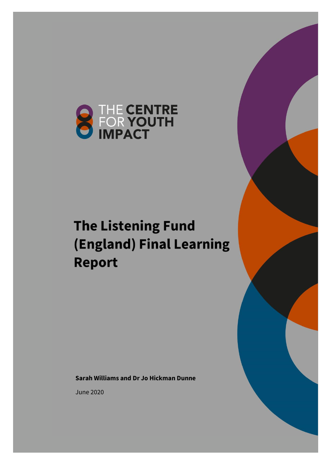

# **The Listening Fund** (England) Final Learning **Report**

**Sarah Williams and Dr Jo Hickman Dunne**

June 2020

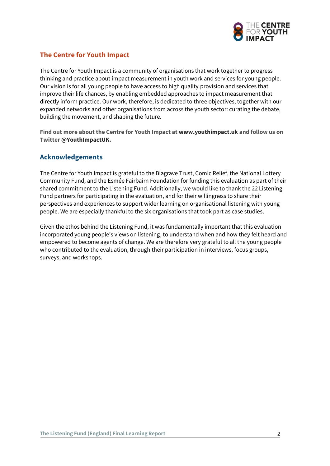

### **The Centre for Youth Impact**

The Centre for Youth Impact is a community of organisations that work together to progress thinking and practice about impact measurement in youth work and services for young people. Our vision is for all young people to have access to high quality provision and services that improve their life chances, by enabling embedded approaches to impact measurement that directly inform practice. Our work, therefore, is dedicated to three objectives, together with our expanded networks and other organisations from across the youth sector: curating the debate, building the movement, and shaping the future.

**Find out more about the Centre for Youth Impact at www.youthimpact.uk and follow us on Twitter @YouthImpactUK.**

#### **Acknowledgements**

The Centre for Youth Impact is grateful to the Blagrave Trust, Comic Relief, the National Lottery Community Fund, and the Esmée Fairbairn Foundation for funding this evaluation as part of their shared commitment to the Listening Fund. Additionally, we would like to thank the 22 Listening Fund partners for participating in the evaluation, and for their willingness to share their perspectives and experiences to support wider learning on organisational listening with young people. We are especially thankful to the six organisations that took part as case studies.

Given the ethos behind the Listening Fund, it was fundamentally important that this evaluation incorporated young people's views on listening, to understand when and how they felt heard and empowered to become agents of change. We are therefore very grateful to all the young people who contributed to the evaluation, through their participation in interviews, focus groups, surveys, and workshops.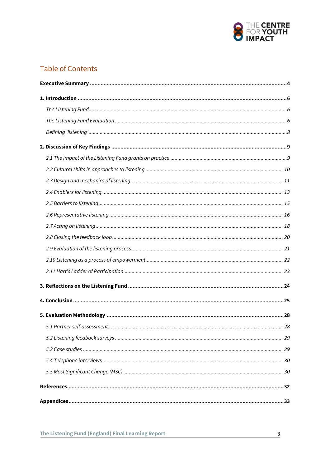

# **Table of Contents**

| 5.1 Partner self-assessment | 28 |
|-----------------------------|----|
|                             |    |
|                             |    |
|                             |    |
|                             |    |
|                             |    |
|                             |    |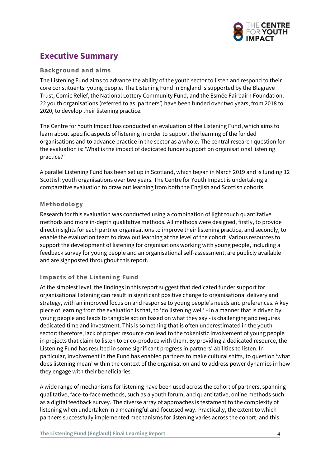

# <span id="page-3-0"></span>**Executive Summary**

#### **Background and aims**

The Listening Fund aims to advance the ability of the youth sector to listen and respond to their core constituents: young people. The Listening Fund in England is supported by the Blagrave Trust, Comic Relief, the National Lottery Community Fund, and the Esmée Fairbairn Foundation. 22 youth organisations (referred to as 'partners') have been funded over two years, from 2018 to 2020, to develop their listening practice.

The Centre for Youth Impact has conducted an evaluation of the Listening Fund, which aims to learn about specific aspects of listening in order to support the learning of the funded organisations and to advance practice in the sector as a whole. The central research question for the evaluation is: 'What is the impact of dedicated funder support on organisational listening practice?'

A parallel Listening Fund has been set up in Scotland, which began in March 2019 and is funding 12 Scottish youth organisations over two years. The Centre for Youth Impact is undertaking a comparative evaluation to draw out learning from both the English and Scottish cohorts.

#### **Methodology**

Research for this evaluation was conducted using a combination of light touch quantitative methods and more in-depth qualitative methods. All methods were designed, firstly, to provide direct insights for each partner organisations to improve their listening practice, and secondly, to enable the evaluation team to draw out learning at the level of the cohort. Various resources to support the development of listening for organisations working with young people, including a feedback survey for young people and an organisational self-assessment, are publicly available and are signposted throughout this report.

#### **Impacts of the Listening Fund**

At the simplest level, the findings in this report suggest that dedicated funder support for organisational listening can result in significant positive change to organisational delivery and strategy, with an improved focus on and response to young people's needs and preferences. A key piece of learning from the evaluation is that, to 'do listening well' - in a manner that is driven by young people and leads to tangible action based on what they say - is challenging and requires dedicated time and investment. This is something that is often underestimated in the youth sector: therefore, lack of proper resource can lead to the tokenistic involvement of young people in projects that claim to listen to or co-produce with them. By providing a dedicated resource, the Listening Fund has resulted in some significant progress in partners' abilities to listen. In particular, involvement in the Fund has enabled partners to make cultural shifts, to question 'what does listening mean' within the context of the organisation and to address power dynamics in how they engage with their beneficiaries.

A wide range of mechanisms for listening have been used across the cohort of partners, spanning qualitative, face-to-face methods, such as a youth forum, and quantitative, online methods such as a digital feedback survey. The diverse array of approaches is testament to the complexity of listening when undertaken in a meaningful and focussed way. Practically, the extent to which partners successfully implemented mechanisms for listening varies across the cohort, and this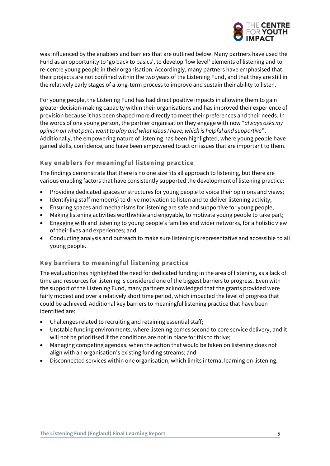

was influenced by the enablers and barriers that are outlined below. Many partners have used the Fund as an opportunity to 'go back to basics', to develop 'low level' elements of listening and to re-centre young people in their organisation. Accordingly, many partners have emphasised that their projects are not confined within the two years of the Listening Fund, and that they are still in the relatively early stages of a long-term process to improve and sustain their ability to listen.

For young people, the Listening Fund has had direct positive impacts in allowing them to gain greater decision-making capacity within their organisations and has improved their experience of provision because it has been shaped more directly to meet their preferences and their needs. In the words of one young person, the partner organisation they engage with now "*always asks my opinion on what part I want to play and what ideas I have, which is helpful and supportive*". Additionally, the empowering nature of listening has been highlighted, where young people have gained skills, confidence, and have been empowered to act on issues that are important to them.

#### **Key enablers for meaningful listening practice**

The findings demonstrate that there is no one size fits all approach to listening, but there are various enabling factors that have consistently supported the development of listening practice:

- Providing dedicated spaces or structures for young people to voice their opinions and views;
- Identifying staff member(s) to drive motivation to listen and to deliver listening activity;
- Ensuring spaces and mechanisms for listening are safe and supportive for young people;
- Making listening activities worthwhile and enjoyable, to motivate young people to take part;
- Engaging with and listening to young people's families and wider networks, for a holistic view of their lives and experiences; and
- Conducting analysis and outreach to make sure listening is representative and accessible to all young people.

#### **Key barriers to meaningful listening practice**

The evaluation has highlighted the need for dedicated funding in the area of listening, as a lack of time and resources for listening is considered one of the biggest barriers to progress. Even with the support of the Listening Fund, many partners acknowledged that the grants provided were fairly modest and over a relatively short time period, which impacted the level of progress that could be achieved. Additional key barriers to meaningful listening practice that have been identified are:

- Challenges related to recruiting and retaining essential staff;
- Unstable funding environments, where listening comes second to core service delivery, and it will not be prioritised if the conditions are not in place for this to thrive;
- Managing competing agendas, when the action that would be taken on listening does not align with an organisation's existing funding streams; and
- Disconnected services within one organisation, which limits internal learning on listening.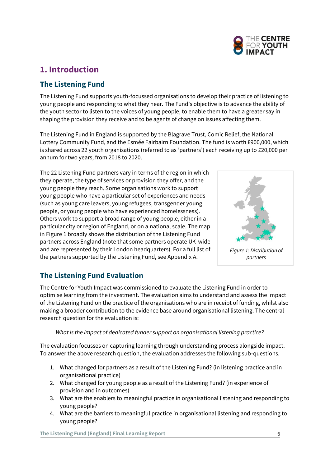

# <span id="page-5-0"></span>**1. Introduction**

# <span id="page-5-1"></span>**The Listening Fund**

The Listening Fund supports youth-focussed organisations to develop their practice of listening to young people and responding to what they hear. The Fund's objective is to advance the ability of the youth sector to listen to the voices of young people, to enable them to have a greater say in shaping the provision they receive and to be agents of change on issues affecting them.

The Listening Fund in England is supported by the Blagrave Trust, Comic Relief, the National Lottery Community Fund, and the Esmée Fairbairn Foundation. The fund is worth £900,000, which is shared across 22 youth organisations (referred to as 'partners') each receiving up to £20,000 per annum for two years, from 2018 to 2020.

The 22 Listening Fund partners vary in terms of the region in which they operate, the type of services or provision they offer, and the young people they reach. Some organisations work to support young people who have a particular set of experiences and needs (such as young care leavers, young refugees, transgender young people, or young people who have experienced homelessness). Others work to support a broad range of young people, either in a particular city or region of England, or on a national scale. The map in Figure 1 broadly shows the distribution of the Listening Fund partners across England (note that some partners operate UK-wide and are represented by their London headquarters). For a full list of the partners supported by the Listening Fund, see Appendix A.



*Figure 1: Distribution of partners* 

# <span id="page-5-2"></span>**The Listening Fund Evaluation**

The Centre for Youth Impact was commissioned to evaluate the Listening Fund in order to optimise learning from the investment. The evaluation aims to understand and assess the impact of the Listening Fund on the practice of the organisations who are in receipt of funding, whilst also making a broader contribution to the evidence base around organisational listening. The central research question for the evaluation is:

#### *What is the impact of dedicated funder support on organisational listening practice?*

The evaluation focusses on capturing learning through understanding process alongside impact. To answer the above research question, the evaluation addresses the following sub-questions.

- 1. What changed for partners as a result of the Listening Fund? (in listening practice and in organisational practice)
- 2. What changed for young people as a result of the Listening Fund? (in experience of provision and in outcomes)
- 3. What are the enablers to meaningful practice in organisational listening and responding to young people?
- 4. What are the barriers to meaningful practice in organisational listening and responding to young people?

**The Listening Fund (England) Final Learning Report** 6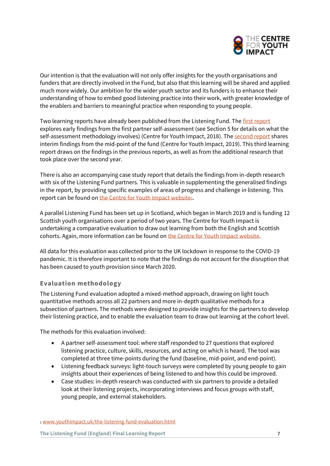

Our intention is that the evaluation will not only offer insights for the youth organisations and funders that are directly involved in the Fund, but also that this learning will be shared and applied much more widely. Our ambition for the wider youth sector and its funders is to enhance their understanding of how to embed good listening practice into their work, with greater knowledge of the enablers and barriers to meaningful practice when responding to young people.

Two learning reports have already been published from the Listening Fund. The [first report](https://www.thelisteningfund.org/2018/11/09/hear-hear-what-the-cyi-has-learned-from-the-listening-fund-evaluation-so-far-and-how-we-can-all-improve-our-practice/) explores early findings from the first partner self-assessment (see Section 5 for details on what the self-assessment methodology involves) (Centre for Youth Impact, 2018). Th[e second report](https://www.thelisteningfund.org/2019/07/15/listening-for-change-the-centre-for-youth-impacts-interim-findings-from-the-listening-fund-evaluation/) shares interim findings from the mid-point of the fund (Centre for Youth Impact, 2019). This third learning report draws on the findings in the previous reports, as well as from the additional research that took place over the second year.

There is also an accompanying case study report that details the findings from in-depth research with six of the Listening Fund partners. This is valuable in supplementing the generalised findings in the report, by providing specific examples of areas of progress and challenge in listening. This report can be found on [the Centre for Youth Impact website](http://www.youthimpact.uk/the-listening-fund-evaluation.html)1.

A parallel Listening Fund has been set up in Scotland, which began in March 2019 and is funding 12 Scottish youth organisations over a period of two years. The Centre for Youth Impact is undertaking a comparative evaluation to draw out learning from both the English and Scottish cohorts. Again, more information can be found o[n the Centre for Youth Impact website.](https://www.youthimpact.uk/the-listening-fund-evaluation.html)

All data for this evaluation was collected prior to the UK lockdown in response to the COVID-19 pandemic. It is therefore important to note that the findings do not account for the disruption that has been caused to youth provision since March 2020.

#### **Evaluation methodology**

The Listening Fund evaluation adopted a mixed-method approach, drawing on light touch quantitative methods across all 22 partners and more in-depth qualitative methods for a subsection of partners. The methods were designed to provide insights for the partners to develop their listening practice, and to enable the evaluation team to draw out learning at the cohort level.

The methods for this evaluation involved:

- A partner self-assessment tool: where staff responded to 27 questions that explored listening practice, culture, skills, resources, and acting on which is heard. The tool was completed at three time-points during the fund (baseline, mid-point, and end-point).
- Listening feedback surveys: light-touch surveys were completed by young people to gain insights about their experiences of being listened to and how this could be improved.
- Case studies: in-depth research was conducted with six partners to provide a detailed look at their listening projects, incorporating interviews and focus groups with staff, young people, and external stakeholders.

<sup>1</sup> [www.youthimpact.uk/the-listening-fund-evaluation.html](http://www.youthimpact.uk/the-listening-fund-evaluation.html)

**The Listening Fund (England) Final Learning Report** 7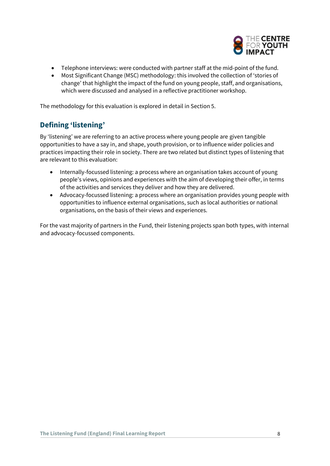

- Telephone interviews: were conducted with partner staff at the mid-point of the fund.
- Most Significant Change (MSC) methodology: this involved the collection of 'stories of change' that highlight the impact of the fund on young people, staff, and organisations, which were discussed and analysed in a reflective practitioner workshop.

The methodology for this evaluation is explored in detail in Section 5.

# <span id="page-7-0"></span>**Defining 'listening'**

By 'listening' we are referring to an active process where young people are given tangible opportunities to have a say in, and shape, youth provision, or to influence wider policies and practices impacting their role in society. There are two related but distinct types of listening that are relevant to this evaluation:

- Internally-focussed listening: a process where an organisation takes account of young people's views, opinions and experiences with the aim of developing their offer, in terms of the activities and services they deliver and how they are delivered.
- Advocacy-focussed listening: a process where an organisation provides young people with opportunities to influence external organisations, such as local authorities or national organisations, on the basis of their views and experiences.

For the vast majority of partners in the Fund, their listening projects span both types, with internal and advocacy-focussed components.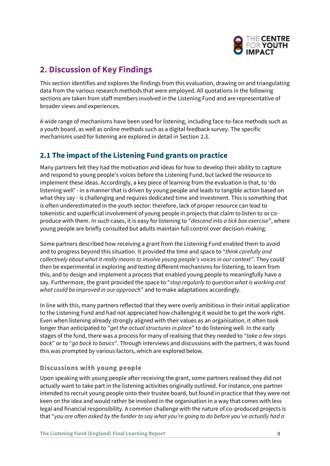

# <span id="page-8-0"></span>**2. Discussion of Key Findings**

This section identifies and explores the findings from this evaluation, drawing on and triangulating data from the various research methods that were employed. All quotations in the following sections are taken from staff members involved in the Listening Fund and are representative of broader views and experiences.

A wide range of mechanisms have been used for listening, including face-to-face methods such as a youth board, as well as online methods such as a digital feedback survey. The specific mechanisms used for listening are explored in detail in Section 2.3.

# <span id="page-8-1"></span>**2.1 The impact of the Listening Fund grants on practice**

Many partners felt they had the motivation and ideas for how to develop their ability to capture and respond to young people's voices before the Listening Fund, but lacked the resource to implement these ideas. Accordingly, a key piece of learning from the evaluation is that, to 'do listening well' - in a manner that is driven by young people and leads to tangible action based on what they say - is challenging and requires dedicated time and investment. This is something that is often underestimated in the youth sector: therefore, lack of proper resource can lead to tokenistic and superficial involvement of young people in projects that claim to listen to or coproduce with them. In such cases, it is easy for listening to "*descend into a tick box exercise*", where young people are briefly consulted but adults maintain full control over decision-making.

Some partners described how receiving a grant from the Listening Fund enabled them to avoid and to progress beyond this situation. It provided the time and space to "*think carefully and collectively about what it really means to involve young people's voices in our context"*. They could then be experimental in exploring and testing different mechanisms for listening, to learn from this, and to design and implement a process that enabled young people to meaningfully have a say. Furthermore, the grant provided the space to "*stop regularly to question what is working and what could be improved in our approach*" and to make adaptations accordingly.

In line with this, many partners reflected that they were overly ambitious in their initial application to the Listening Fund and had not appreciated how challenging it would be to get the work right. Even when listening already strongly aligned with their values as an organisation, it often took longer than anticipated to "*get the actual structures in place*" to do listening well. In the early stages of the fund, there was a process for many of realising that they needed to "*take a few steps back*" or to "*go back to basics*". Through interviews and discussions with the partners, it was found this was prompted by various factors, which are explored below.

#### **Discussions with young people**

Upon speaking with young people after receiving the grant, some partners realised they did not actually want to take part in the listening activities originally outlined. For instance, one partner intended to recruit young people onto their trustee board, but found in practice that they were not keen on the idea and would rather be involved in the organisation in a way that comes with less legal and financial responsibility. A common challenge with the nature of co-produced projects is that "*you are often asked by the funder to say what you're going to do before you've actually had a*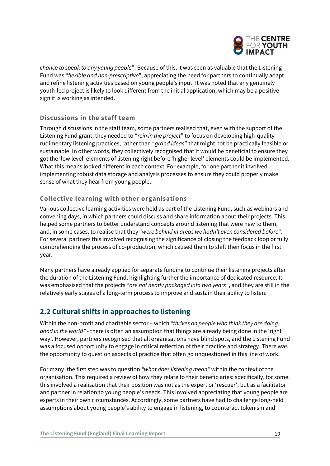

*chance to speak to any young people*". Because of this, it was seen as valuable that the Listening Fund was "*flexible and non-prescriptive*", appreciating the need for partners to continually adapt and refine listening activities based on young people's input. It was noted that any genuinely youth-led project is likely to look different from the initial application, which may be a positive sign it is working as intended.

#### **Discussions in the staff team**

Through discussions in the staff team, some partners realised that, even with the support of the Listening Fund grant, they needed to "*rein in the project*" to focus on developing high-quality rudimentary listening practices, rather than "*grand ideas*" that might not be practically feasible or sustainable. In other words, they collectively recognised that it would be beneficial to ensure they got the 'low level' elements of listening right before 'higher level' elements could be implemented. What this means looked different in each context. For example, for one partner it involved implementing robust data storage and analysis processes to ensure they could properly make sense of what they hear from young people.

### **Collective learning with other organisations**

Various collective learning activities were held as part of the Listening Fund, such as webinars and convening days, in which partners could discuss and share information about their projects. This helped some partners to better understand concepts around listening that were new to them, and, in some cases, to realise that they "*were behind in areas we hadn't even considered before*". For several partners this involved recognising the significance of closing the feedback loop or fully comprehending the process of co-production, which caused them to shift their focus in the first year.

Many partners have already applied for separate funding to continue their listening projects after the duration of the Listening Fund, highlighting further the importance of dedicated resource. It was emphasised that the projects "*are not neatly packaged into two years*", and they are still in the relatively early stages of a long-term process to improve and sustain their ability to listen.

# <span id="page-9-0"></span>**2.2 Cultural shifts in approaches to listening**

Within the non-profit and charitable sector – which *"thrives on people who think they are doing good in the world"* - there is often an assumption that things are already being done in the 'right way'. However, partners recognised that all organisations have blind spots, and the Listening Fund was a focused opportunity to engage in critical reflection of their practice and strategy. There was the opportunity to question aspects of practice that often go unquestioned in this line of work.

For many, the first step was to question *"what does listening mean"* within the context of the organisation. This required a review of how they relate to their beneficiaries: specifically, for some, this involved a realisation that their position was not as the expert or 'rescuer', but as a facilitator and partner in relation to young people's needs. This involved appreciating that young people are experts in their own circumstances. Accordingly, some partners have had to challenge long-held assumptions about young people's ability to engage in listening, to counteract tokenism and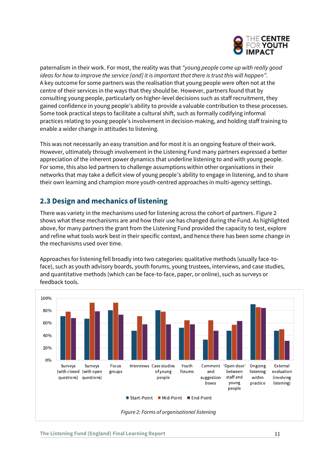

paternalism in their work. For most, the reality was that *"young people come up with really good ideas for how to improve the service [and] it is important that there is trust this will happen".* A key outcome for some partners was the realisation that young people were often not at the centre of their services in the ways that they should be. However, partners found that by consulting young people, particularly on higher-level decisions such as staff recruitment, they gained confidence in young people's ability to provide a valuable contribution to these processes. Some took practical steps to facilitate a cultural shift, such as formally codifying informal practices relating to young people's involvement in decision-making, and holding staff training to enable a wider change in attitudes to listening.

This was not necessarily an easy transition and for most it is an ongoing feature of their work. However, ultimately through involvement in the Listening Fund many partners expressed a better appreciation of the inherent power dynamics that underline listening to and with young people. For some, this also led partners to challenge assumptions within other organisations in their networks that may take a deficit view of young people's ability to engage in listening, and to share their own learning and champion more youth-centred approaches in multi-agency settings.

# <span id="page-10-0"></span>**2.3 Design and mechanics of listening**

There was variety in the mechanisms used for listening across the cohort of partners. Figure 2 shows what these mechanisms are and how their use has changed during the Fund. As highlighted above, for many partners the grant from the Listening Fund provided the capacity to test, explore and refine what tools work best in their specific context, and hence there has been some change in the mechanisms used over time.

Approaches for listening fell broadly into two categories: qualitative methods (usually face-toface), such as youth advisory boards, youth forums, young trustees, interviews, and case studies, and quantitative methods (which can be face-to-face, paper, or online), such as surveys or feedback tools.

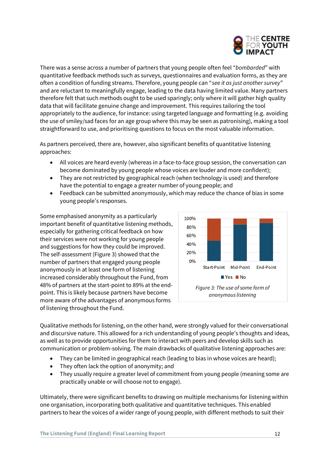

There was a sense across a number of partners that young people often feel "*bombarded*" with quantitative feedback methods such as surveys, questionnaires and evaluation forms, as they are often a condition of funding streams. Therefore, young people can "*see it as just another survey*" and are reluctant to meaningfully engage, leading to the data having limited value. Many partners therefore felt that such methods ought to be used sparingly; only where it will gather high quality data that will facilitate genuine change and improvement. This requires tailoring the tool appropriately to the audience, for instance: using targeted language and formatting (e.g. avoiding the use of smiley/sad faces for an age group where this may be seen as patronising), making a tool straightforward to use, and prioritising questions to focus on the most valuable information.

As partners perceived, there are, however, also significant benefits of quantitative listening approaches:

- All voices are heard evenly (whereas in a face-to-face group session, the conversation can become dominated by young people whose voices are louder and more confident);
- They are not restricted by geographical reach (when technology is used) and therefore have the potential to engage a greater number of young people; and
- Feedback can be submitted anonymously, which may reduce the chance of bias in some young people's responses.

Some emphasised anonymity as a particularly important benefit of quantitative listening methods, especially for gathering critical feedback on how their services were not working for young people and suggestions for how they could be improved. The self-assessment (Figure 3) showed that the number of partners that engaged young people anonymously in at least one form of listening increased considerably throughout the Fund, from 48% of partners at the start-point to 89% at the endpoint. This is likely because partners have become more aware of the advantages of anonymous forms of listening throughout the Fund.



Qualitative methods for listening, on the other hand, were strongly valued for their conversational and discursive nature. This allowed for a rich understanding of young people's thoughts and ideas, as well as to provide opportunities for them to interact with peers and develop skills such as communication or problem-solving. The main drawbacks of qualitative listening approaches are:

- They can be limited in geographical reach (leading to bias in whose voices are heard);
- They often lack the option of anonymity; and
- They usually require a greater level of commitment from young people (meaning some are practically unable or will choose not to engage).

Ultimately, there were significant benefits to drawing on multiple mechanisms for listening within one organisation, incorporating both qualitative and quantitative techniques. This enabled partners to hear the voices of a wider range of young people, with different methods to suit their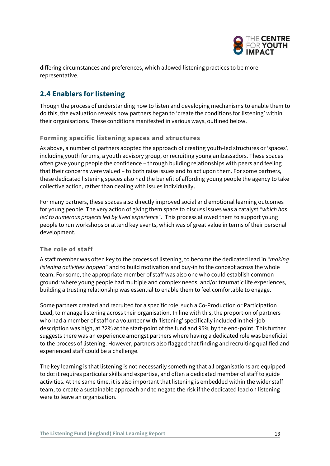

differing circumstances and preferences, which allowed listening practices to be more representative.

# <span id="page-12-0"></span>**2.4 Enablers for listening**

Though the process of understanding how to listen and developing mechanisms to enable them to do this, the evaluation reveals how partners began to 'create the conditions for listening' within their organisations. These conditions manifested in various ways, outlined below.

#### **Forming specific listening spaces and structures**

As above, a number of partners adopted the approach of creating youth-led structures or 'spaces', including youth forums, a youth advisory group, or recruiting young ambassadors. These spaces often gave young people the confidence – through building relationships with peers and feeling that their concerns were valued – to both raise issues and to act upon them. For some partners, these dedicated listening spaces also had the benefit of affording young people the agency to take collective action, rather than dealing with issues individually.

For many partners, these spaces also directly improved social and emotional learning outcomes for young people. The very action of giving them space to discuss issues was a catalyst *"which has led to numerous projects led by lived experience".* This process allowed them to support young people to run workshops or attend key events, which was of great value in terms of their personal development.

#### **The role of staff**

A staff member was often key to the process of listening, to become the dedicated lead in "*making listening activities happen*" and to build motivation and buy-in to the concept across the whole team. For some, the appropriate member of staff was also one who could establish common ground: where young people had multiple and complex needs, and/or traumatic life experiences, building a trusting relationship was essential to enable them to feel comfortable to engage.

Some partners created and recruited for a specific role, such a Co-Production or Participation Lead, to manage listening across their organisation. In line with this, the proportion of partners who had a member of staff or a volunteer with 'listening' specifically included in their job description was high, at 72% at the start-point of the fund and 95% by the end-point. This further suggests there was an experience amongst partners where having a dedicated role was beneficial to the process of listening. However, partners also flagged that finding and recruiting qualified and experienced staff could be a challenge.

The key learning is that listening is not necessarily something that all organisations are equipped to do: it requires particular skills and expertise, and often a dedicated member of staff to guide activities. At the same time, it is also important that listening is embedded within the wider staff team, to create a sustainable approach and to negate the risk if the dedicated lead on listening were to leave an organisation.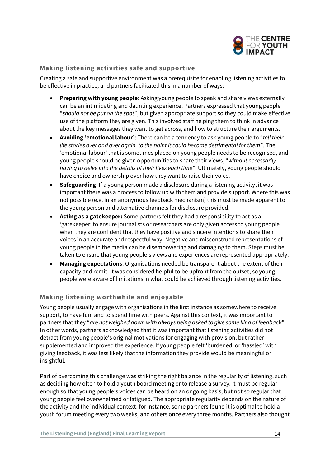

#### **Making listening activities safe and supportive**

Creating a safe and supportive environment was a prerequisite for enabling listening activities to be effective in practice, and partners facilitated this in a number of ways:

- **Preparing with young people**: Asking young people to speak and share views externally can be an intimidating and daunting experience. Partners expressed that young people "*should not be put on the spot*", but given appropriate support so they could make effective use of the platform they are given. This involved staff helping them to think in advance about the key messages they want to get across, and how to structure their arguments.
- **Avoiding 'emotional labour'**: There can be a tendency to ask young people to "*tell their life stories over and over again, to the point it could become detrimental for them*". The 'emotional labour' that is sometimes placed on young people needs to be recognised, and young people should be given opportunities to share their views, "*without necessarily having to delve into the details of their lives each time*". Ultimately, young people should have choice and ownership over how they want to raise their voice.
- **Safeguarding**: If a young person made a disclosure during a listening activity, it was important there was a process to follow up with them and provide support. Where this was not possible (e.g. in an anonymous feedback mechanism) this must be made apparent to the young person and alternative channels for disclosure provided.
- **Acting as a gatekeeper:** Some partners felt they had a responsibility to act as a 'gatekeeper' to ensure journalists or researchers are only given access to young people when they are confident that they have positive and sincere intentions to share their voices in an accurate and respectful way. Negative and misconstrued representations of young people in the media can be disempowering and damaging to them. Steps must be taken to ensure that young people's views and experiences are represented appropriately.
- **Managing expectations**: Organisations needed be transparent about the extent of their capacity and remit. It was considered helpful to be upfront from the outset, so young people were aware of limitations in what could be achieved through listening activities.

#### **Making listening worthwhile and enjoyable**

Young people usually engage with organisations in the first instance as somewhere to receive support, to have fun, and to spend time with peers. Against this context, it was important to partners that they "*are not weighed down with always being asked to give some kind of feedbac*k". In other words, partners acknowledged that it was important that listening activities did not detract from young people's original motivations for engaging with provision, but rather supplemented and improved the experience. If young people felt 'burdened' or 'hassled' with giving feedback, it was less likely that the information they provide would be meaningful or insightful.

Part of overcoming this challenge was striking the right balance in the regularity of listening, such as deciding how often to hold a youth board meeting or to release a survey. It must be regular enough so that young people's voices can be heard on an ongoing basis, but not so regular that young people feel overwhelmed or fatigued. The appropriate regularity depends on the nature of the activity and the individual context: for instance, some partners found it is optimal to hold a youth forum meeting every two weeks, and others once every three months. Partners also thought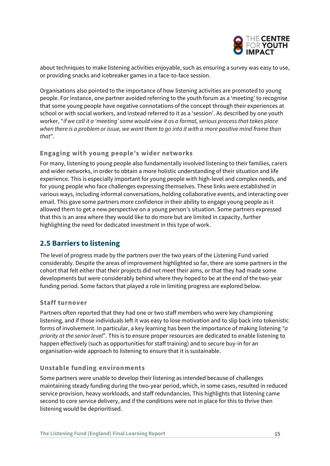

about techniques to make listening activities enjoyable, such as ensuring a survey was easy to use, or providing snacks and icebreaker games in a face-to-face session.

Organisations also pointed to the importance of how listening activities are promoted to young people. For instance, one partner avoided referring to the youth forum as a 'meeting' to recognise that some young people have negative connotations of the concept through their experiences at school or with social workers, and instead referred to it as a 'session'. As described by one youth worker, "*if we call it a 'meeting' some would view it as a formal, serious process that takes place when there is a problem or issue, we want them to go into it with a more positive mind frame than that*".

#### **Engaging with young people's wider networks**

For many, listening to young people also fundamentally involved listening to their families, carers and wider networks, in order to obtain a more holistic understanding of their situation and life experience. This is especially important for young people with high-level and complex needs, and for young people who face challenges expressing themselves. These links were established in various ways, including informal conversations, holding collaborative events, and interacting over email. This gave some partners more confidence in their ability to engage young people as it allowed them to get a new perspective on a young person's situation. Some partners expressed that this is an area where they would like to do more but are limited in capacity, further highlighting the need for dedicated investment in this type of work.

### <span id="page-14-0"></span>**2.5 Barriers to listening**

The level of progress made by the partners over the two years of the Listening Fund varied considerably. Despite the areas of improvement highlighted so far, there are some partners in the cohort that felt either that their projects did not meet their aims, or that they had made some developments but were considerably behind where they hoped to be at the end of the two-year funding period. Some factors that played a role in limiting progress are explored below.

#### **Staff turnover**

Partners often reported that they had one or two staff members who were key championing listening, and if those individuals left it was easy to lose motivation and to slip back into tokenistic forms of involvement. In particular, a key learning has been the importance of making listening *"a priority at the senior level*". This is to ensure proper resources are dedicated to enable listening to happen effectively (such as opportunities for staff training) and to secure buy-in for an organisation-wide approach to listening to ensure that it is sustainable.

#### **Unstable funding environments**

Some partners were unable to develop their listening as intended because of challenges maintaining steady funding during the two-year period, which, in some cases, resulted in reduced service provision, heavy workloads, and staff redundancies. This highlights that listening came second to core service delivery, and if the conditions were not in place for this to thrive then listening would be deprioritised.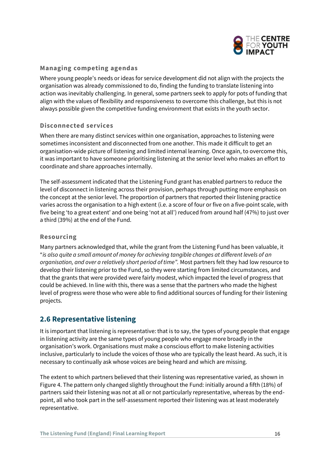

#### **Managing competing agendas**

Where young people's needs or ideas for service development did not align with the projects the organisation was already commissioned to do, finding the funding to translate listening into action was inevitably challenging. In general, some partners seek to apply for pots of funding that align with the values of flexibility and responsiveness to overcome this challenge, but this is not always possible given the competitive funding environment that exists in the youth sector.

#### **Disconnected services**

When there are many distinct services within one organisation, approaches to listening were sometimes inconsistent and disconnected from one another. This made it difficult to get an organisation-wide picture of listening and limited internal learning. Once again, to overcome this, it was important to have someone prioritising listening at the senior level who makes an effort to coordinate and share approaches internally.

The self-assessment indicated that the Listening Fund grant has enabled partners to reduce the level of disconnect in listening across their provision, perhaps through putting more emphasis on the concept at the senior level. The proportion of partners that reported their listening practice varies across the organisation to a high extent (i.e. a score of four or five on a five-point scale, with five being 'to a great extent' and one being 'not at all') reduced from around half (47%) to just over a third (39%) at the end of the Fund.

#### **Resourcing**

Many partners acknowledged that, while the grant from the Listening Fund has been valuable, it "*is also quite a small amount of money for achieving tangible changes at different levels of an organisation, and over a relatively short period of time".* Most partners felt they had low resource to develop their listening prior to the Fund, so they were starting from limited circumstances, and that the grants that were provided were fairly modest, which impacted the level of progress that could be achieved. In line with this, there was a sense that the partners who made the highest level of progress were those who were able to find additional sources of funding for their listening projects.

### <span id="page-15-0"></span>**2.6 Representative listening**

It is important that listening is representative: that is to say, the types of young people that engage in listening activity are the same types of young people who engage more broadly in the organisation's work. Organisations must make a conscious effort to make listening activities inclusive, particularly to include the voices of those who are typically the least heard. As such, it is necessary to continually ask whose voices are being heard and which are missing.

The extent to which partners believed that their listening was representative varied, as shown in Figure 4. The pattern only changed slightly throughout the Fund: initially around a fifth (18%) of partners said their listening was not at all or not particularly representative, whereas by the endpoint, all who took part in the self-assessment reported their listening was at least moderately representative.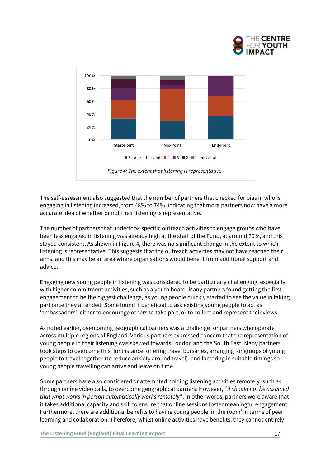



The self-assessment also suggested that the number of partners that checked for bias in who is engaging in listening increased, from 48% to 74%, indicating that more partners now have a more accurate idea of whether or not their listening is representative.

The number of partners that undertook specific outreach activities to engage groups who have been less engaged in listening was already high at the start of the Fund, at around 70%, and this stayed consistent. As shown in Figure 4, there was no significant change in the extent to which listening is representative. This suggests that the outreach activities may not have reached their aims, and this may be an area where organisations would benefit from additional support and advice.

Engaging new young people in listening was considered to be particularly challenging, especially with higher commitment activities, such as a youth board. Many partners found getting the first engagement to be the biggest challenge, as young people quickly started to see the value in taking part once they attended. Some found it beneficial to ask existing young people to act as 'ambassadors', either to encourage others to take part, or to collect and represent their views.

As noted earlier, overcoming geographical barriers was a challenge for partners who operate across multiple regions of England. Various partners expressed concern that the representation of young people in their listening was skewed towards London and the South East. Many partners took steps to overcome this, for instance: offering travel bursaries, arranging for groups of young people to travel together (to reduce anxiety around travel), and factoring in suitable timings so young people travelling can arrive and leave on time.

Some partners have also considered or attempted holding listening activities remotely, such as through online video calls, to overcome geographical barriers. However, "*it should not be assumed that what works in person automatically works remotely*". In other words, partners were aware that it takes additional capacity and skill to ensure that online sessions foster meaningful engagement. Furthermore, there are additional benefits to having young people 'in the room' in terms of peer learning and collaboration. Therefore, whilst online activities have benefits, they cannot entirely

**The Listening Fund (England) Final Learning Report 17 All 2018 17 All 2018 17 All 2018 17 All 2018 17 All 2018 17 All 2018 17 All 2018 17 All 2018 17 All 2019 17 All 2019 17 All 2019 17 All 2019 17 All 2019 17 All 2019 17**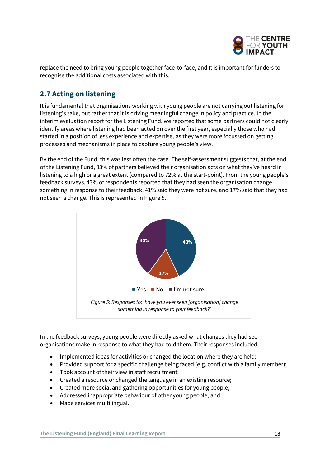

replace the need to bring young people together face-to-face, and It is important for funders to recognise the additional costs associated with this.

# <span id="page-17-0"></span>**2.7 Acting on listening**

It is fundamental that organisations working with young people are not carrying out listening for listening's sake, but rather that it is driving meaningful change in policy and practice. In the interim evaluation report for the Listening Fund, we reported that some partners could not clearly identify areas where listening had been acted on over the first year, especially those who had started in a position of less experience and expertise, as they were more focussed on getting processes and mechanisms in place to capture young people's view.

By the end of the Fund, this was less often the case. The self-assessment suggests that, at the end of the Listening Fund, 83% of partners believed their organisation acts on what they've heard in listening to a high or a great extent (compared to 72% at the start-point). From the young people's feedback surveys, 43% of respondents reported that they had seen the organisation change something in response to their feedback, 41% said they were not sure, and 17% said that they had not seen a change. This is represented in Figure 5.



In the feedback surveys, young people were directly asked what changes they had seen organisations make in response to what they had told them. Their responses included:

- Implemented ideas for activities or changed the location where they are held;
- Provided support for a specific challenge being faced (e.g. conflict with a family member);
- Took account of their view in staff recruitment;
- Created a resource or changed the language in an existing resource;
- Created more social and gathering opportunities for young people;
- Addressed inappropriate behaviour of other young people; and
- Made services multilingual.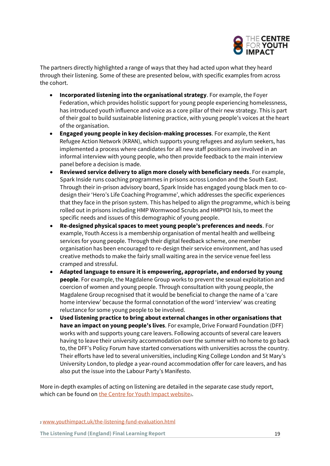

The partners directly highlighted a range of ways that they had acted upon what they heard through their listening. Some of these are presented below, with specific examples from across the cohort.

- **Incorporated listening into the organisational strategy**. For example, the Foyer Federation, which provides holistic support for young people experiencing homelessness, has introduced youth influence and voice as a core pillar of their new strategy. This is part of their goal to build sustainable listening practice, with young people's voices at the heart of the organisation.
- **Engaged young people in key decision-making processes**. For example, the Kent Refugee Action Network (KRAN), which supports young refugees and asylum seekers, has implemented a process where candidates for all new staff positions are involved in an informal interview with young people, who then provide feedback to the main interview panel before a decision is made.
- **Reviewed service delivery to align more closely with beneficiary needs**. For example, Spark Inside runs coaching programmes in prisons across London and the South East. Through their in-prison advisory board, Spark Inside has engaged young black men to codesign their 'Hero's Life Coaching Programme', which addresses the specific experiences that they face in the prison system. This has helped to align the programme, which is being rolled out in prisons including HMP Wormwood Scrubs and HMPYOI Isis, to meet the specific needs and issues of this demographic of young people.
- **Re-designed physical spaces to meet young people's preferences and needs**. For example, Youth Access is a membership organisation of mental health and wellbeing services for young people. Through their digital feedback scheme, one member organisation has been encouraged to re-design their service environment, and has used creative methods to make the fairly small waiting area in the service venue feel less cramped and stressful.
- **Adapted language to ensure it is empowering, appropriate, and endorsed by young people**. For example, the Magdalene Group works to prevent the sexual exploitation and coercion of women and young people. Through consultation with young people, the Magdalene Group recognised that it would be beneficial to change the name of a 'care home interview' because the formal connotation of the word 'interview' was creating reluctance for some young people to be involved.
- **Used listening practice to bring about external changes in other organisations that have an impact on young people's lives**. For example, Drive Forward Foundation (DFF) works with and supports young care leavers. Following accounts of several care leavers having to leave their university accommodation over the summer with no home to go back to, the DFF's Policy Forum have started conversations with universities across the country. Their efforts have led to several universities, including King College London and St Mary's University London, to pledge a year-round accommodation offer for care leavers, and has also put the issue into the Labour Party's Manifesto.

More in-depth examples of acting on listening are detailed in the separate case study report, which can be found on [the Centre for Youth Impact website](http://www.youthimpact.uk/the-listening-fund-evaluation.html).

<sup>2</sup> [www.youthimpact.uk/the-listening-fund-evaluation.html](http://www.youthimpact.uk/the-listening-fund-evaluation.html)

**The Listening Fund (England) Final Learning Report** 19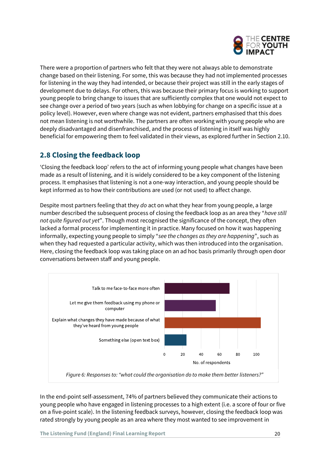

There were a proportion of partners who felt that they were not always able to demonstrate change based on their listening. For some, this was because they had not implemented processes for listening in the way they had intended, or because their project was still in the early stages of development due to delays. For others, this was because their primary focus is working to support young people to bring change to issues that are sufficiently complex that one would not expect to see change over a period of two years (such as when lobbying for change on a specific issue at a policy level). However, even where change was not evident, partners emphasised that this does not mean listening is not worthwhile. The partners are often working with young people who are deeply disadvantaged and disenfranchised, and the process of listening in itself was highly beneficial for empowering them to feel validated in their views, as explored further in Section 2.10.

# <span id="page-19-0"></span>**2.8 Closing the feedback loop**

'Closing the feedback loop' refers to the act of informing young people what changes have been made as a result of listening, and it is widely considered to be a key component of the listening process. It emphasises that listening is not a one-way interaction, and young people should be kept informed as to how their contributions are used (or not used) to affect change.

Despite most partners feeling that they *do* act on what they hear from young people, a large number described the subsequent process of closing the feedback loop as an area they "*have still not quite figured out yet*". Though most recognised the significance of the concept, they often lacked a formal process for implementing it in practice. Many focused on how it was happening informally, expecting young people to simply "*see the changes as they are happening*", such as when they had requested a particular activity, which was then introduced into the organisation. Here, closing the feedback loop was taking place on an ad hoc basis primarily through open door conversations between staff and young people.



In the end-point self-assessment, 74% of partners believed they communicate their actions to young people who have engaged in listening processes to a high extent (i.e. a score of four or five on a five-point scale). In the listening feedback surveys, however, closing the feedback loop was rated strongly by young people as an area where they most wanted to see improvement in

**The Listening Fund (England) Final Learning Report** 20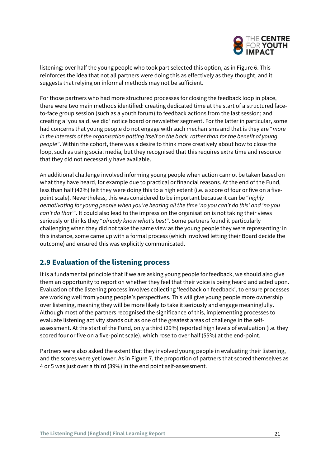

listening: over half the young people who took part selected this option, as in Figure 6. This reinforces the idea that not all partners were doing this as effectively as they thought, and it suggests that relying on informal methods may not be sufficient.

For those partners who had more structured processes for closing the feedback loop in place, there were two main methods identified: creating dedicated time at the start of a structured faceto-face group session (such as a youth forum) to feedback actions from the last session; and creating a 'you said, we did' notice board or newsletter segment. For the latter in particular, some had concerns that young people do not engage with such mechanisms and that is they are "*more in the interests of the organisation patting itself on the back, rather than for the benefit of young people*". Within the cohort, there was a desire to think more creatively about how to close the loop, such as using social media, but they recognised that this requires extra time and resource that they did not necessarily have available.

An additional challenge involved informing young people when action cannot be taken based on what they have heard, for example due to practical or financial reasons. At the end of the Fund, less than half (42%) felt they were doing this to a high extent (i.e. a score of four or five on a fivepoint scale). Nevertheless, this was considered to be important because it can be "*highly demotivating for young people when you're hearing all the time 'no you can't do this' and 'no you can't do that'*". It could also lead to the impression the organisation is not taking their views seriously or thinks they "*already know what's best*". Some partners found it particularly challenging when they did not take the same view as the young people they were representing*:* in this instance, some came up with a formal process (which involved letting their Board decide the outcome) and ensured this was explicitly communicated.

### <span id="page-20-0"></span>**2.9 Evaluation of the listening process**

It is a fundamental principle that if we are asking young people for feedback, we should also give them an opportunity to report on whether they feel that their voice is being heard and acted upon. Evaluation of the listening process involves collecting 'feedback on feedback', to ensure processes are working well from young people's perspectives. This will give young people more ownership over listening, meaning they will be more likely to take it seriously and engage meaningfully. Although most of the partners recognised the significance of this, implementing processes to evaluate listening activity stands out as one of the greatest areas of challenge in the selfassessment. At the start of the Fund, only a third (29%) reported high levels of evaluation (i.e. they scored four or five on a five-point scale), which rose to over half (55%) at the end-point.

Partners were also asked the extent that they involved young people in evaluating their listening, and the scores were yet lower. As in Figure 7, the proportion of partners that scored themselves as 4 or 5 was just over a third (39%) in the end point self-assessment.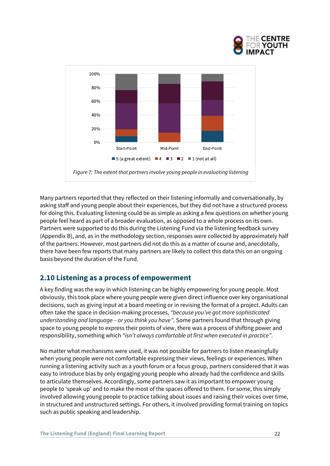



Many partners reported that they reflected on their listening informally and conversationally, by asking staff and young people about their experiences, but they did not have a structured process for doing this. Evaluating listening could be as simple as asking a few questions on whether young people feel heard as part of a broader evaluation, as opposed to a whole process on its own. Partners were supported to do this during the Listening Fund via the listening feedback survey (Appendix B), and, as in the methodology section, responses were collected by approximately half of the partners. However, most partners did not do this as a matter of course and, anecdotally, there have been few reports that many partners are likely to collect this data this on an ongoing basis beyond the duration of the Fund.

### <span id="page-21-0"></span>**2.10 Listening as a process of empowerment**

A key finding was the way in which listening can be highly empowering for young people. Most obviously, this took place where young people were given direct influence over key organisational decisions, such as giving input at a board meeting or in revising the format of a project. Adults can often take the space in decision-making processes, *"because you've got more sophisticated understanding and language – or you think you have"*. Some partners found that through giving space to young people to express their points of view, there was a process of shifting power and responsibility, something which *"isn't always comfortable at first when executed in practice"*.

No matter what mechanisms were used, it was not possible for partners to listen meaningfully when young people were not comfortable expressing their views, feelings or experiences. When running a listening activity such as a youth forum or a focus group, partners considered that it was easy to introduce bias by only engaging young people who already had the confidence and skills to articulate themselves. Accordingly, some partners saw it as important to empower young people to 'speak up' and to make the most of the spaces offered to them. For some, this simply involved allowing young people to practice talking about issues and raising their voices over time, in structured and unstructured settings. For others, it involved providing formal training on topics such as public speaking and leadership.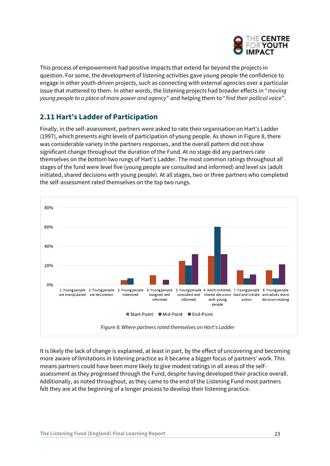

This process of empowerment had positive impacts that extend far beyond the projects in question. For some, the development of listening activities gave young people the confidence to engage in other youth-driven projects, such as connecting with external agencies over a particular issue that mattered to them. In other words, the listening projects had broader effects in "*moving young people to a place of more power and agency*" and helping them to "*find their pollical voice*".

# <span id="page-22-0"></span>**2.11 Hart's Ladder of Participation**

Finally, in the self-assessment, partners were asked to rate their organisation on Hart's Ladder (1997), which presents eight levels of participation of young people. As shown in Figure 8, there was considerable variety in the partners responses, and the overall pattern did not show significant change throughout the duration of the Fund. At no stage did any partners rate themselves on the bottom two rungs of Hart's Ladder. The most common ratings throughout all stages of the fund were level five (young people are consulted and informed) and level six (adult initiated, shared decisions with young people). At all stages, two or three partners who completed the self-assessment rated themselves on the top two rungs.



It is likely the lack of change is explained, at least in part, by the effect of uncovering and becoming more aware of limitations in listening practice as it became a bigger focus of partners' work. This means partners could have been more likely to give modest ratings in all areas of the selfassessment as they progressed through the Fund, despite having developed their practice overall. Additionally, as noted throughout, as they came to the end of the Listening Fund most partners felt they are at the beginning of a longer process to develop their listening practice.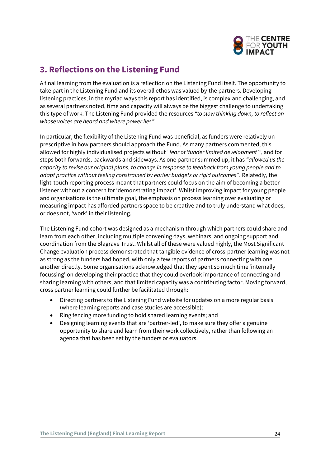

# <span id="page-23-0"></span>**3. Reflections on the Listening Fund**

A final learning from the evaluation is a reflection on the Listening Fund itself. The opportunity to take part in the Listening Fund and its overall ethos was valued by the partners. Developing listening practices, in the myriad ways this report has identified, is complex and challenging, and as several partners noted, time and capacity will always be the biggest challenge to undertaking this type of work. The Listening Fund provided the resources *"to slow thinking down, to reflect on whose voices are heard and where power lies"*.

In particular, the flexibility of the Listening Fund was beneficial, as funders were relatively unprescriptive in how partners should approach the Fund. As many partners commented, this allowed for highly individualised projects without *"fear of 'funder limited development'"*, and for steps both forwards, backwards and sideways. As one partner summed up, it has *"allowed us the capacity to revise our original plans, to change in response to feedback from young people and to adapt practice without feeling constrained by earlier budgets or rigid outcomes".* Relatedly, the light-touch reporting process meant that partners could focus on the aim of becoming a better listener without a concern for 'demonstrating impact'. Whilst improving impact for young people and organisations is the ultimate goal, the emphasis on process learning over evaluating or measuring impact has afforded partners space to be creative and to truly understand what does, or does not, 'work' in their listening.

The Listening Fund cohort was designed as a mechanism through which partners could share and learn from each other, including multiple convening days, webinars, and ongoing support and coordination from the Blagrave Trust. Whilst all of these were valued highly, the Most Significant Change evaluation process demonstrated that tangible evidence of cross-partner learning was not as strong as the funders had hoped, with only a few reports of partners connecting with one another directly. Some organisations acknowledged that they spent so much time 'internally focussing' on developing their practice that they could overlook importance of connecting and sharing learning with others, and that limited capacity was a contributing factor. Moving forward, cross partner learning could further be facilitated through:

- Directing partners to the Listening Fund website for updates on a more regular basis (where learning reports and case studies are accessible);
- Ring fencing more funding to hold shared learning events; and
- Designing learning events that are 'partner-led', to make sure they offer a genuine opportunity to share and learn from their work collectively, rather than following an agenda that has been set by the funders or evaluators.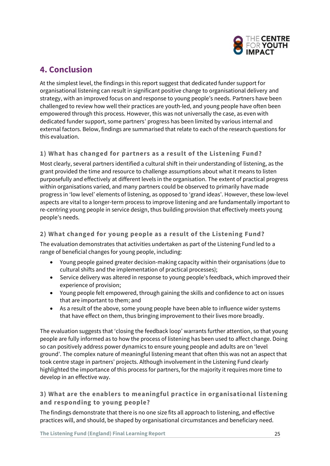

# <span id="page-24-0"></span>**4. Conclusion**

At the simplest level, the findings in this report suggest that dedicated funder support for organisational listening can result in significant positive change to organisational delivery and strategy, with an improved focus on and response to young people's needs. Partners have been challenged to review how well their practices are youth-led, and young people have often been empowered through this process. However, this was not universally the case, as even with dedicated funder support, some partners' progress has been limited by various internal and external factors. Below, findings are summarised that relate to each of the research questions for this evaluation.

#### **1) What has changed for partners as a result of the Listening Fund?**

Most clearly, several partners identified a cultural shift in their understanding of listening, as the grant provided the time and resource to challenge assumptions about what it means to listen purposefully and effectively at different levels in the organisation. The extent of practical progress within organisations varied, and many partners could be observed to primarily have made progress in 'low level' elements of listening, as opposed to 'grand ideas'. However, these low-level aspects are vital to a longer-term process to improve listening and are fundamentally important to re-centring young people in service design, thus building provision that effectively meets young people's needs.

#### **2) What changed for young people as a result of the Listening Fund?**

The evaluation demonstrates that activities undertaken as part of the Listening Fund led to a range of beneficial changes for young people, including:

- Young people gained greater decision-making capacity within their organisations (due to cultural shifts and the implementation of practical processes);
- Service delivery was altered in response to young people's feedback, which improved their experience of provision;
- Young people felt empowered, through gaining the skills and confidence to act on issues that are important to them; and
- As a result of the above, some young people have been able to influence wider systems that have effect on them, thus bringing improvement to their lives more broadly.

The evaluation suggests that 'closing the feedback loop' warrants further attention, so that young people are fully informed as to how the process of listening has been used to affect change. Doing so can positively address power dynamics to ensure young people and adults are on 'level ground'. The complex nature of meaningful listening meant that often this was not an aspect that took centre stage in partners' projects. Although involvement in the Listening Fund clearly highlighted the importance of this process for partners, for the majority it requires more time to develop in an effective way.

### **3) What are the enablers to meaningful practice in organisational listening and responding to young people?**

The findings demonstrate that there is no one size fits all approach to listening, and effective practices will, and should, be shaped by organisational circumstances and beneficiary need.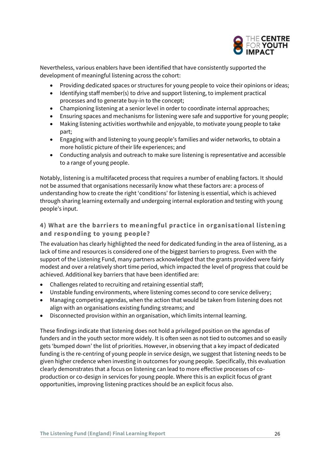

Nevertheless, various enablers have been identified that have consistently supported the development of meaningful listening across the cohort:

- Providing dedicated spaces or structures for young people to voice their opinions or ideas;
- Identifying staff member(s) to drive and support listening, to implement practical processes and to generate buy-in to the concept;
- Championing listening at a senior level in order to coordinate internal approaches;
- Ensuring spaces and mechanisms for listening were safe and supportive for young people;
- Making listening activities worthwhile and enjoyable, to motivate young people to take part;
- Engaging with and listening to young people's families and wider networks, to obtain a more holistic picture of their life experiences; and
- Conducting analysis and outreach to make sure listening is representative and accessible to a range of young people.

Notably, listening is a multifaceted process that requires a number of enabling factors. It should not be assumed that organisations necessarily know what these factors are: a process of understanding how to create the right 'conditions' for listening is essential, which is achieved through sharing learning externally and undergoing internal exploration and testing with young people's input.

### **4) What are the barriers to meaningful practice in organisational listening and responding to young people?**

The evaluation has clearly highlighted the need for dedicated funding in the area of listening, as a lack of time and resources is considered one of the biggest barriers to progress. Even with the support of the Listening Fund, many partners acknowledged that the grants provided were fairly modest and over a relatively short time period, which impacted the level of progress that could be achieved. Additional key barriers that have been identified are:

- Challenges related to recruiting and retaining essential staff;
- Unstable funding environments, where listening comes second to core service delivery;
- Managing competing agendas, when the action that would be taken from listening does not align with an organisations existing funding streams; and
- Disconnected provision within an organisation, which limits internal learning.

These findings indicate that listening does not hold a privileged position on the agendas of funders and in the youth sector more widely. It is often seen as not tied to outcomes and so easily gets 'bumped down' the list of priorities. However, in observing that a key impact of dedicated funding is the re-centring of young people in service design, we suggest that listening needs to be given higher credence when investing in outcomes for young people. Specifically, this evaluation clearly demonstrates that a focus on listening can lead to more effective processes of coproduction or co-design in services for young people. Where this is an explicit focus of grant opportunities, improving listening practices should be an explicit focus also.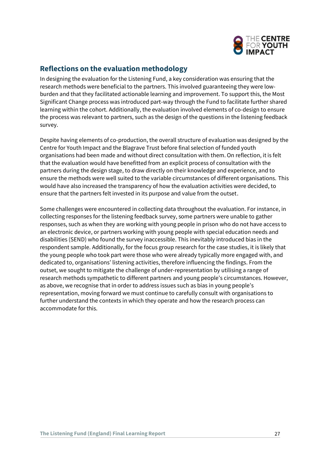

### **Reflections on the evaluation methodology**

In designing the evaluation for the Listening Fund, a key consideration was ensuring that the research methods were beneficial to the partners. This involved guaranteeing they were lowburden and that they facilitated actionable learning and improvement. To support this, the Most Significant Change process was introduced part-way through the Fund to facilitate further shared learning within the cohort. Additionally, the evaluation involved elements of co-design to ensure the process was relevant to partners, such as the design of the questions in the listening feedback survey.

Despite having elements of co-production, the overall structure of evaluation was designed by the Centre for Youth Impact and the Blagrave Trust before final selection of funded youth organisations had been made and without direct consultation with them. On reflection, it is felt that the evaluation would have benefitted from an explicit process of consultation with the partners during the design stage, to draw directly on their knowledge and experience, and to ensure the methods were well suited to the variable circumstances of different organisations. This would have also increased the transparency of how the evaluation activities were decided, to ensure that the partners felt invested in its purpose and value from the outset.

Some challenges were encountered in collecting data throughout the evaluation. For instance, in collecting responses for the listening feedback survey, some partners were unable to gather responses, such as when they are working with young people in prison who do not have access to an electronic device, or partners working with young people with special education needs and disabilities (SEND) who found the survey inaccessible. This inevitably introduced bias in the respondent sample. Additionally, for the focus group research for the case studies, it is likely that the young people who took part were those who were already typically more engaged with, and dedicated to, organisations' listening activities, therefore influencing the findings. From the outset, we sought to mitigate the challenge of under-representation by utilising a range of research methods sympathetic to different partners and young people's circumstances. However, as above, we recognise that in order to address issues such as bias in young people's representation, moving forward we must continue to carefully consult with organisations to further understand the contexts in which they operate and how the research process can accommodate for this.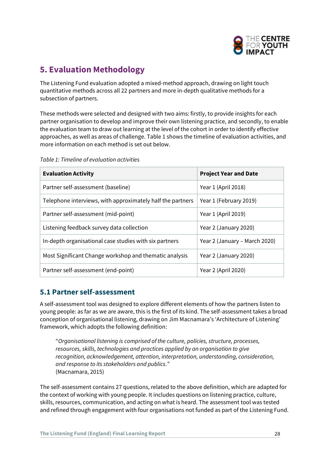

# <span id="page-27-0"></span>**5. Evaluation Methodology**

The Listening Fund evaluation adopted a mixed-method approach, drawing on light touch quantitative methods across all 22 partners and more in-depth qualitative methods for a subsection of partners.

These methods were selected and designed with two aims: firstly, to provide insights for each partner organisation to develop and improve their own listening practice, and secondly, to enable the evaluation team to draw out learning at the level of the cohort in order to identify effective approaches, as well as areas of challenge. Table 1 shows the timeline of evaluation activities, and more information on each method is set out below.

| <b>Evaluation Activity</b>                                 | <b>Project Year and Date</b>  |
|------------------------------------------------------------|-------------------------------|
| Partner self-assessment (baseline)                         | Year 1 (April 2018)           |
| Telephone interviews, with approximately half the partners | Year 1 (February 2019)        |
| Partner self-assessment (mid-point)                        | Year 1 (April 2019)           |
| Listening feedback survey data collection                  | Year 2 (January 2020)         |
| In-depth organisational case studies with six partners     | Year 2 (January – March 2020) |
| Most Significant Change workshop and thematic analysis     | Year 2 (January 2020)         |
| Partner self-assessment (end-point)                        | Year 2 (April 2020)           |

*Table 1: Timeline of evaluation activities*

# <span id="page-27-1"></span>**5.1 Partner self-assessment**

A self-assessment tool was designed to explore different elements of how the partners listen to young people: as far as we are aware, this is the first of its kind. The self-assessment takes a broad conception of organisational listening, drawing on Jim Macnamara's 'Architecture of Listening' framework, which adopts the following definition:

"*Organisational listening is comprised of the culture, policies, structure, processes, resources, skills, technologies and practices applied by an organisation to give recognition, acknowledgement, attention, interpretation, understanding, consideration, and response to its stakeholders and publics.*" (Macnamara, 2015)

The self-assessment contains 27 questions, related to the above definition, which are adapted for the context of working with young people. It includes questions on listening practice, culture, skills, resources, communication, and acting on what is heard. The assessment tool was tested and refined through engagement with four organisations not funded as part of the Listening Fund.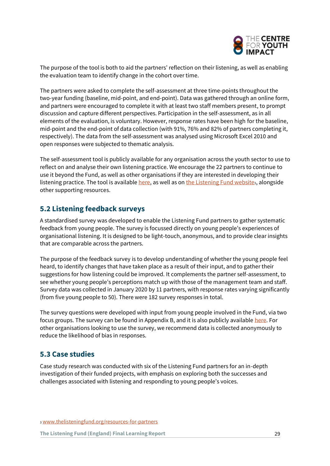

The purpose of the tool is both to aid the partners' reflection on their listening, as well as enabling the evaluation team to identify change in the cohort over time.

The partners were asked to complete the self-assessment at three time-points throughout the two-year funding (baseline, mid-point, and end-point). Data was gathered through an online form, and partners were encouraged to complete it with at least two staff members present, to prompt discussion and capture different perspectives. Participation in the self-assessment, as in all elements of the evaluation, is voluntary. However, response rates have been high for the baseline, mid-point and the end-point of data collection (with 91%, 76% and 82% of partners completing it, respectively). The data from the self-assessment was analysed using Microsoft Excel 2010 and open responses were subjected to thematic analysis.

The self-assessment tool is publicly available for any organisation across the youth sector to use to reflect on and analyse their own listening practice. We encourage the 22 partners to continue to use it beyond the Fund, as well as other organisations if they are interested in developing their listening practice. The tool is available [here,](https://www.youthimpact.uk/uploads/1/1/4/1/114154335/listening_fund_organisational_self-assessment__public_version_.pdf) as well as on [the Listening Fund website](https://www.thelisteningfund.org/resources-for-partners/)<sub>3</sub>, alongside other supporting resources.

### <span id="page-28-0"></span>**5.2 Listening feedback surveys**

A standardised survey was developed to enable the Listening Fund partners to gather systematic feedback from young people. The survey is focussed directly on young people's experiences of organisational listening. It is designed to be light-touch, anonymous, and to provide clear insights that are comparable across the partners.

The purpose of the feedback survey is to develop understanding of whether the young people feel heard, to identify changes that have taken place as a result of their input, and to gather their suggestions for how listening could be improved. It complements the partner self-assessment, to see whether young people's perceptions match up with those of the management team and staff. Survey data was collected in January 2020 by 11 partners, with response rates varying significantly (from five young people to 50). There were 182 survey responses in total.

The survey questions were developed with input from young people involved in the Fund, via two focus groups. The survey can be found in Appendix B, and it is also publicly available [here.](https://www.youthimpact.uk/uploads/1/1/4/1/114154335/listening_fund_feedback_questions__public_version_.pdf) For other organisations looking to use the survey, we recommend data is collected anonymously to reduce the likelihood of bias in responses.

#### <span id="page-28-1"></span>**5.3 Case studies**

Case study research was conducted with six of the Listening Fund partners for an in-depth investigation of their funded projects, with emphasis on exploring both the successes and challenges associated with listening and responding to young people's voices.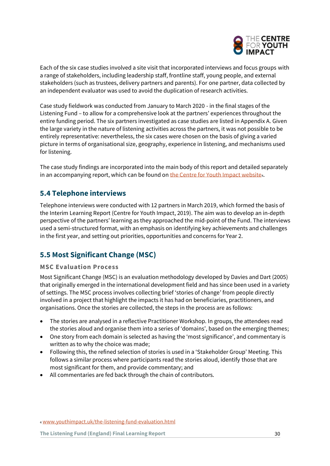

Each of the six case studies involved a site visit that incorporated interviews and focus groups with a range of stakeholders, including leadership staff, frontline staff, young people, and external stakeholders (such as trustees, delivery partners and parents). For one partner, data collected by an independent evaluator was used to avoid the duplication of research activities.

Case study fieldwork was conducted from January to March 2020 - in the final stages of the Listening Fund – to allow for a comprehensive look at the partners' experiences throughout the entire funding period. The six partners investigated as case studies are listed in Appendix A. Given the large variety in the nature of listening activities across the partners, it was not possible to be entirely representative: nevertheless, the six cases were chosen on the basis of giving a varied picture in terms of organisational size, geography, experience in listening, and mechanisms used for listening.

The case study findings are incorporated into the main body of this report and detailed separately in an accompanying report, which can be found o[n the Centre for Youth Impact website](http://www.youthimpact.uk/the-listening-fund-evaluation.html).

# <span id="page-29-0"></span>**5.4 Telephone interviews**

Telephone interviews were conducted with 12 partners in March 2019, which formed the basis of the Interim Learning Report (Centre for Youth Impact, 2019). The aim was to develop an in-depth perspective of the partners' learning as they approached the mid-point of the Fund. The interviews used a semi-structured format, with an emphasis on identifying key achievements and challenges in the first year, and setting out priorities, opportunities and concerns for Year 2.

# <span id="page-29-1"></span>**5.5 Most Significant Change (MSC)**

#### **MSC Evaluation Process**

Most Significant Change (MSC) is an evaluation methodology developed by Davies and Dart (2005) that originally emerged in the international development field and has since been used in a variety of settings. The MSC process involves collecting brief 'stories of change' from people directly involved in a project that highlight the impacts it has had on beneficiaries, practitioners, and organisations. Once the stories are collected, the steps in the process are as follows:

- The stories are analysed in a reflective Practitioner Workshop. In groups, the attendees read the stories aloud and organise them into a series of 'domains', based on the emerging themes;
- One story from each domain is selected as having the 'most significance', and commentary is written as to why the choice was made;
- Following this, the refined selection of stories is used in a 'Stakeholder Group' Meeting. This follows a similar process where participants read the stories aloud, identify those that are most significant for them, and provide commentary; and
- All commentaries are fed back through the chain of contributors.

<sup>4</sup> [www.youthimpact.uk/the-listening-fund-evaluation.html](http://www.youthimpact.uk/the-listening-fund-evaluation.html)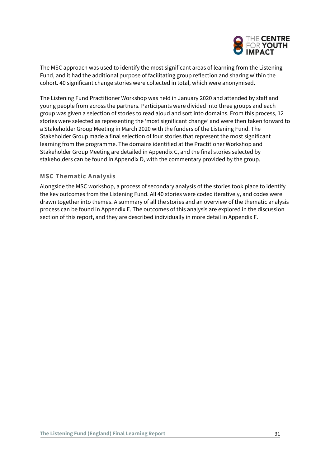

The MSC approach was used to identify the most significant areas of learning from the Listening Fund, and it had the additional purpose of facilitating group reflection and sharing within the cohort. 40 significant change stories were collected in total, which were anonymised.

The Listening Fund Practitioner Workshop was held in January 2020 and attended by staff and young people from across the partners. Participants were divided into three groups and each group was given a selection of stories to read aloud and sort into domains. From this process, 12 stories were selected as representing the 'most significant change' and were then taken forward to a Stakeholder Group Meeting in March 2020 with the funders of the Listening Fund. The Stakeholder Group made a final selection of four stories that represent the most significant learning from the programme. The domains identified at the Practitioner Workshop and Stakeholder Group Meeting are detailed in Appendix C, and the final stories selected by stakeholders can be found in Appendix D, with the commentary provided by the group.

#### **MSC Thematic Analysis**

Alongside the MSC workshop, a process of secondary analysis of the stories took place to identify the key outcomes from the Listening Fund. All 40 stories were coded iteratively, and codes were drawn together into themes. A summary of all the stories and an overview of the thematic analysis process can be found in Appendix E. The outcomes of this analysis are explored in the discussion section of this report, and they are described individually in more detail in Appendix F.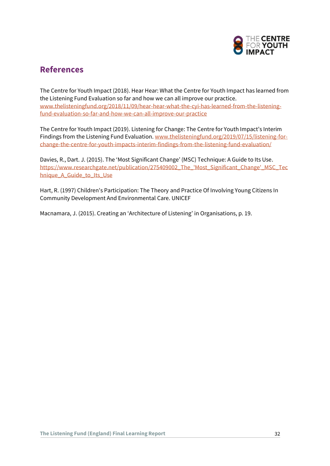

# <span id="page-31-0"></span>**References**

The Centre for Youth Impact (2018). Hear Hear: What the Centre for Youth Impact has learned from the Listening Fund Evaluation so far and how we can all improve our practice. [www.thelisteningfund.org/2018/11/09/hear-hear-what-the-cyi-has-learned-from-the-listening](http://www.thelisteningfund.org/2018/11/09/hear-hear-what-the-cyi-has-learned-from-the-listening-fund-evaluation-so-far-and-how-we-can-all-improve-our-practice)[fund-evaluation-so-far-and-how-we-can-all-improve-our-practice](http://www.thelisteningfund.org/2018/11/09/hear-hear-what-the-cyi-has-learned-from-the-listening-fund-evaluation-so-far-and-how-we-can-all-improve-our-practice)

The Centre for Youth Impact (2019). Listening for Change: The Centre for Youth Impact's Interim Findings from the Listening Fund Evaluation[. www.thelisteningfund.org/2019/07/15/listening-for](http://www.thelisteningfund.org/2019/07/15/listening-for-change-the-centre-for-youth-impacts-interim-findings-from-the-listening-fund-evaluation/)[change-the-centre-for-youth-impacts-interim-findings-from-the-listening-fund-evaluation/](http://www.thelisteningfund.org/2019/07/15/listening-for-change-the-centre-for-youth-impacts-interim-findings-from-the-listening-fund-evaluation/)

Davies, R., Dart. J. (2015). The 'Most Significant Change' (MSC) Technique: A Guide to Its Use. [https://www.researchgate.net/publication/275409002\\_The\\_'Most\\_Significant\\_Change'\\_MSC\\_Tec](https://www.researchgate.net/publication/275409002_The_) [hnique\\_A\\_Guide\\_to\\_Its\\_Use](https://www.researchgate.net/publication/275409002_The_)

Hart, R. (1997) Children's Participation: The Theory and Practice Of Involving Young Citizens In Community Development And Environmental Care. UNICEF

Macnamara, J. (2015). Creating an 'Architecture of Listening' in Organisations, p. 19.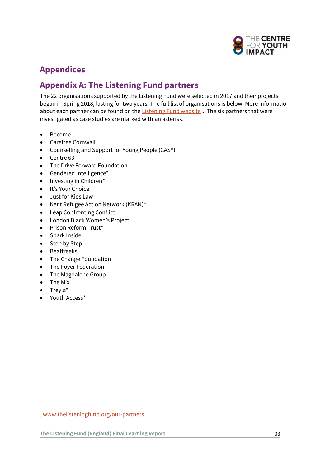

# <span id="page-32-0"></span>**Appendices**

# **Appendix A: The Listening Fund partners**

The 22 organisations supported by the Listening Fund were selected in 2017 and their projects began in Spring 2018, lasting for two years. The full list of organisations is below. More information about each partner can be found on the [Listening Fund website](http://www.thelisteningfund.org/our-partners)s. The six partners that were investigated as case studies are marked with an asterisk.

- Become
- Carefree Cornwall
- Counselling and Support for Young People (CASY)
- Centre 63
- The Drive Forward Foundation
- Gendered Intelligence\*
- Investing in Children\*
- It's Your Choice
- Just for Kids Law
- Kent Refugee Action Network (KRAN)\*
- Leap Confronting Conflict
- London Black Women's Project
- Prison Reform Trust\*
- Spark Inside
- Step by Step
- Beatfreeks
- The Change Foundation
- The Foyer Federation
- The Magdalene Group
- The Mix
- Treyla\*
- Youth Access\*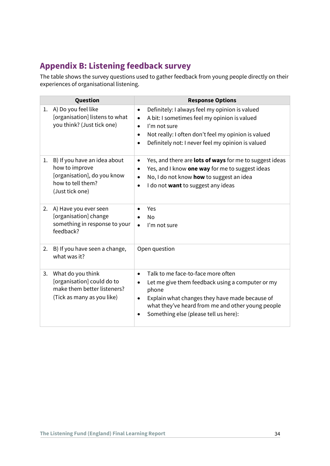# **Appendix B: Listening feedback survey**

The table shows the survey questions used to gather feedback from young people directly on their experiences of organisational listening.

|    | Question                                                                                                              | <b>Response Options</b>                                                                                                                                                                                                                                                        |
|----|-----------------------------------------------------------------------------------------------------------------------|--------------------------------------------------------------------------------------------------------------------------------------------------------------------------------------------------------------------------------------------------------------------------------|
| 1. | A) Do you feel like<br>[organisation] listens to what<br>you think? (Just tick one)                                   | Definitely: I always feel my opinion is valued<br>$\bullet$<br>A bit: I sometimes feel my opinion is valued<br>I'm not sure<br>$\bullet$<br>Not really: I often don't feel my opinion is valued<br>$\bullet$<br>Definitely not: I never feel my opinion is valued<br>$\bullet$ |
| 1. | B) If you have an idea about<br>how to improve<br>[organisation], do you know<br>how to tell them?<br>(Just tick one) | Yes, and there are lots of ways for me to suggest ideas<br>$\bullet$<br>Yes, and I know one way for me to suggest ideas<br>$\bullet$<br>No, I do not know how to suggest an idea<br>$\bullet$<br>I do not want to suggest any ideas<br>$\bullet$                               |
| 2. | A) Have you ever seen<br>[organisation] change<br>something in response to your<br>feedback?                          | Yes<br><b>No</b><br>I'm not sure                                                                                                                                                                                                                                               |
| 2. | B) If you have seen a change,<br>what was it?                                                                         | Open question                                                                                                                                                                                                                                                                  |
| 3. | What do you think<br>[organisation] could do to<br>make them better listeners?<br>(Tick as many as you like)          | Talk to me face-to-face more often<br>$\bullet$<br>Let me give them feedback using a computer or my<br>phone<br>Explain what changes they have made because of<br>what they've heard from me and other young people<br>Something else (please tell us here):                   |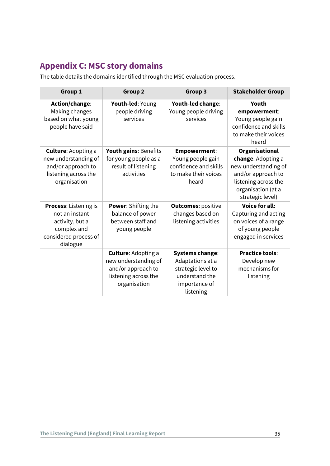# **Appendix C: MSC story domains**

The table details the domains identified through the MSC evaluation process.

| Group 1<br>Group <sub>2</sub>                                                                                    |                                                                                                                  | Group 3                                                                                                          | <b>Stakeholder Group</b>                                                                                                                                    |
|------------------------------------------------------------------------------------------------------------------|------------------------------------------------------------------------------------------------------------------|------------------------------------------------------------------------------------------------------------------|-------------------------------------------------------------------------------------------------------------------------------------------------------------|
| Action/change:<br>Making changes<br>based on what young<br>people have said                                      | Youth-led: Young<br>people driving<br>services                                                                   | Youth-led change:<br>Young people driving<br>services                                                            | Youth<br>empowerment:<br>Young people gain<br>confidence and skills<br>to make their voices<br>heard                                                        |
| <b>Culture: Adopting a</b><br>new understanding of<br>and/or approach to<br>listening across the<br>organisation | Youth gains: Benefits<br>for young people as a<br>result of listening<br>activities                              | <b>Empowerment:</b><br>Young people gain<br>confidence and skills<br>to make their voices<br>heard               | <b>Organisational</b><br>change: Adopting a<br>new understanding of<br>and/or approach to<br>listening across the<br>organisation (at a<br>strategic level) |
| Process: Listening is<br>not an instant<br>activity, but a<br>complex and<br>considered process of<br>dialogue   | Power: Shifting the<br>balance of power<br>between staff and<br>young people                                     | <b>Outcomes: positive</b><br>changes based on<br>listening activities                                            | <b>Voice for all:</b><br>Capturing and acting<br>on voices of a range<br>of young people<br>engaged in services                                             |
|                                                                                                                  | <b>Culture: Adopting a</b><br>new understanding of<br>and/or approach to<br>listening across the<br>organisation | <b>Systems change:</b><br>Adaptations at a<br>strategic level to<br>understand the<br>importance of<br>listening | <b>Practice tools:</b><br>Develop new<br>mechanisms for<br>listening                                                                                        |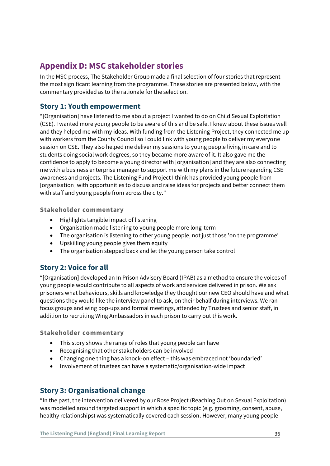# **Appendix D: MSC stakeholder stories**

In the MSC process, The Stakeholder Group made a final selection of four stories that represent the most significant learning from the programme. These stories are presented below, with the commentary provided as to the rationale for the selection.

### **Story 1: Youth empowerment**

"[Organisation] have listened to me about a project I wanted to do on Child Sexual Exploitation (CSE). I wanted more young people to be aware of this and be safe. I knew about these issues well and they helped me with my ideas. With funding from the Listening Project, they connected me up with workers from the County Council so I could link with young people to deliver my everyone session on CSE. They also helped me deliver my sessions to young people living in care and to students doing social work degrees, so they became more aware of it. It also gave me the confidence to apply to become a young director with [organisation] and they are also connecting me with a business enterprise manager to support me with my plans in the future regarding CSE awareness and projects. The Listening Fund Project I think has provided young people from [organisation] with opportunities to discuss and raise ideas for projects and better connect them with staff and young people from across the city."

**Stakeholder commentary**

- Highlights tangible impact of listening
- Organisation made listening to young people more long-term
- The organisation is listening to other young people, not just those 'on the programme'
- Upskilling young people gives them equity
- The organisation stepped back and let the young person take control

# **Story 2: Voice for all**

"[Organisation] developed an In Prison Advisory Board (IPAB) as a method to ensure the voices of young people would contribute to all aspects of work and services delivered in prison. We ask prisoners what behaviours, skills and knowledge they thought our new CEO should have and what questions they would like the interview panel to ask, on their behalf during interviews. We ran focus groups and wing pop-ups and formal meetings, attended by Trustees and senior staff, in addition to recruiting Wing Ambassadors in each prison to carry out this work.

#### **Stakeholder commentary**

- This story shows the range of roles that young people can have
- Recognising that other stakeholders can be involved
- Changing one thing has a knock-on effect this was embraced not 'boundaried'
- Involvement of trustees can have a systematic/organisation-wide impact

### **Story 3: Organisational change**

"In the past, the intervention delivered by our Rose Project (Reaching Out on Sexual Exploitation) was modelled around targeted support in which a specific topic (e.g. grooming, consent, abuse, healthy relationships) was systematically covered each session. However, many young people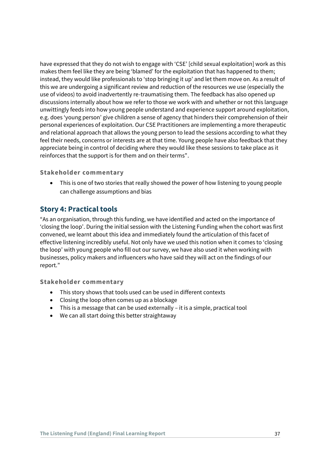have expressed that they do not wish to engage with 'CSE' [child sexual exploitation] work as this makes them feel like they are being 'blamed' for the exploitation that has happened to them; instead, they would like professionals to 'stop bringing it up' and let them move on. As a result of this we are undergoing a significant review and reduction of the resources we use (especially the use of videos) to avoid inadvertently re-traumatising them. The feedback has also opened up discussions internally about how we refer to those we work with and whether or not this language unwittingly feeds into how young people understand and experience support around exploitation, e.g. does 'young person' give children a sense of agency that hinders their comprehension of their personal experiences of exploitation. Our CSE Practitioners are implementing a more therapeutic and relational approach that allows the young person to lead the sessions according to what they feel their needs, concerns or interests are at that time. Young people have also feedback that they appreciate being in control of deciding where they would like these sessions to take place as it reinforces that the support is for them and on their terms".

#### **Stakeholder commentary**

• This is one of two stories that really showed the power of how listening to young people can challenge assumptions and bias

### **Story 4: Practical tools**

"As an organisation, through this funding, we have identified and acted on the importance of 'closing the loop'. During the initial session with the Listening Funding when the cohort was first convened, we learnt about this idea and immediately found the articulation of this facet of effective listening incredibly useful. Not only have we used this notion when it comes to 'closing the loop' with young people who fill out our survey, we have also used it when working with businesses, policy makers and influencers who have said they will act on the findings of our report."

#### **Stakeholder commentary**

- This story shows that tools used can be used in different contexts
- Closing the loop often comes up as a blockage
- This is a message that can be used externally it is a simple, practical tool
- We can all start doing this better straightaway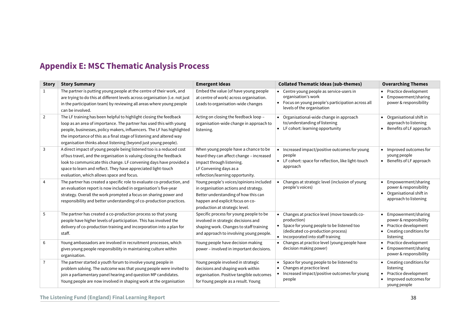# **Appendix E: MSC Thematic Analysis Process**

| <b>Story</b>      | <b>Story Summary</b>                                                                                                                                                                                                                                                                                                            | <b>Emergent Ideas</b>                                                                                                                                                                          | <b>Collated Thematic Ideas (sub-themes)</b>                                                                                                                                                                 | <b>Overarching Themes</b>                                                                                     |
|-------------------|---------------------------------------------------------------------------------------------------------------------------------------------------------------------------------------------------------------------------------------------------------------------------------------------------------------------------------|------------------------------------------------------------------------------------------------------------------------------------------------------------------------------------------------|-------------------------------------------------------------------------------------------------------------------------------------------------------------------------------------------------------------|---------------------------------------------------------------------------------------------------------------|
| $\mathbf{1}$<br>2 | The partner is putting young people at the centre of their work, and<br>are trying to do this at different levels across organisation (i.e. not just<br>in the participation team) by reviewing all areas where young people<br>can be involved.<br>The LF training has been helpful to highlight closing the feedback          | Embed the value (of have young people<br>at centre of work) across organisation.<br>Leads to organisation-wide changes<br>Acting on closing the feedback loop -                                | • Centre young people as service-users in<br>organisation's work<br>• Focus on young people's participation across all<br>levels of the organisation<br>Organisational-wide change in approach<br>$\bullet$ | • Practice development<br>Empowerment/sharing<br>power & responsibility<br>• Organisational shift in          |
|                   | loop as an area of importance. The partner has used this with young<br>people, businesses, policy makers, influencers. The LF has highlighted<br>the importance of this as a final stage of listening and altered way<br>organisation thinks about listening (beyond just young people).                                        | organisation-wide change in approach to<br>listening.                                                                                                                                          | to/understanding of listening<br>• LF cohort: learning opportunity                                                                                                                                          | approach to listening<br>Benefits of LF approach                                                              |
| 3                 | A direct impact of young people being listened too is a reduced cost<br>of bus travel, and the organisation is valuing closing the feedback<br>look to communicate this change. LF convening days have provided a<br>space to learn and reflect. They have appreciated light-touch<br>evaluation, which allows space and focus. | When young people have a chance to be<br>heard they can affect change - increased<br>impact through listening.<br>LF Convening days as a<br>reflection/learning opportunity.                   | • Increased impact/positive outcomes for young<br>people<br>• LF cohort: space for reflection, like light-touch<br>approach                                                                                 | • Improved outcomes for<br>young people<br>• Benefits of LF approach                                          |
| 4                 | The partner has created a specific role to evaluate co-production, and<br>an evaluation report is now included in organisation's five-year<br>strategy. Overall the work prompted a focus on sharing power and<br>responsibility and better understanding of co-production practices.                                           | Young people's voices/opinions included<br>in organisation actions and strategy.<br>Better understanding of how this can<br>happen and explicit focus on co-<br>production at strategic level. | Changes at strategic level (inclusion of young<br>people's voices)                                                                                                                                          | Empowerment/sharing<br>power & responsibility<br>Organisational shift in<br>approach to listening             |
| 5                 | The partner has created a co-production process so that young<br>people have higher levels of participation. This has involved the<br>delivery of co-production training and incorporation into a plan for<br>staff.                                                                                                            | Specific process for young people to be<br>involved in strategic decisions and<br>shaping work. Changes to staff training<br>and approach to involving young people.                           | Changes at practice level (move towards co-<br>٠<br>production)<br>• Space for young people to be listened too<br>(dedicated co-production process)<br>• Incorporated into staff training                   | Empowerment/sharing<br>power & responsibility<br>Practice development<br>Creating conditions for<br>listening |
| 6                 | Young ambassadors are involved in recruitment processes, which<br>gives young people responsibility in maintaining culture within<br>organisation.                                                                                                                                                                              | Young people have decision making<br>power - involved in important decisions.                                                                                                                  | Changes at practice level (young people have<br>$\bullet$<br>decision making power)                                                                                                                         | Practice development<br>Empowerment/sharing<br>power & responsibility                                         |
| $\overline{7}$    | The partner started a youth forum to involve young people in<br>problem solving. The outcome was that young people were invited to<br>join a parliamentary panel hearing and question MP candidates.<br>Young people are now involved in shaping work at the organisation                                                       | Young people involved in strategic<br>decisions and shaping work within<br>organisation. Positive tangible outcomes<br>for Young people as a result. Young                                     | Space for young people to be listened to<br>Changes at practice level<br>٠<br>• Increased impact/positive outcomes for young<br>people                                                                      | • Creating conditions for<br>listening<br>Practice development<br>Improved outcomes for<br>young people       |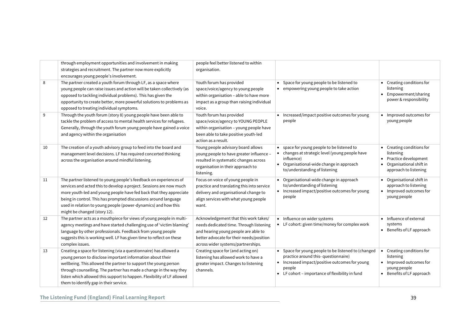|    | through employment opportunities and involvement in making<br>strategies and recruitment. The partner now more explicitly<br>encourages young people's involvement.                                                                                                                                                                                                                           | people feel better listened to within<br>organisation.                                                                                                                                                     |                                                                                                                                                                                                                                                                                                                             |
|----|-----------------------------------------------------------------------------------------------------------------------------------------------------------------------------------------------------------------------------------------------------------------------------------------------------------------------------------------------------------------------------------------------|------------------------------------------------------------------------------------------------------------------------------------------------------------------------------------------------------------|-----------------------------------------------------------------------------------------------------------------------------------------------------------------------------------------------------------------------------------------------------------------------------------------------------------------------------|
| 8  | The partner created a youth forum through LF, as a space where<br>young people can raise issues and action will be taken collectively (as<br>opposed to tackling individual problems). This has given the<br>opportunity to create better, more powerful solutions to problems as<br>opposed to treating individual symptoms.                                                                 | Youth forum has provided<br>space/voice/agency to young people<br>within organisation - able to have more<br>impact as a group than raising individual<br>voice.                                           | Space for young people to be listened to<br>• Creating conditions for<br>$\bullet$<br>listening<br>• empowering young people to take action<br>Empowerment/sharing<br>power & responsibility                                                                                                                                |
| 9  | Through the youth forum (story 8) young people have been able to<br>tackle the problem of access to mental health services for refugees.<br>Generally, through the youth forum young people have gained a voice<br>and agency within the organisation                                                                                                                                         | Youth forum has provided<br>space/voice/agency to YOUNG PEOPLE<br>within organisation - young people have<br>been able to take positive youth-led<br>action as a result.                                   | • Increased/impact positive outcomes for young<br>Improved outcomes for<br>people<br>young people                                                                                                                                                                                                                           |
| 10 | The creation of a youth advisory group to feed into the board and<br>management level decisions. LF has required concerted thinking<br>across the organisation around mindful listening.                                                                                                                                                                                                      | Young people advisory board allows<br>young people to have greater influence -<br>resulted in systematic changes across<br>organisation in their approach to<br>listening.                                 | • space for young people to be listened to<br>• Creating conditions for<br>• changes at strategic level (young people have<br>listening<br>Practice development<br>influence)<br>• Organisational-wide change in approach<br>Organisational shift in<br>to/understanding of listening<br>approach to listening              |
| 11 | The partner listened to young people's feedback on experiences of<br>services and acted this to develop a project. Sessions are now much<br>more youth-led and young people have fed back that they appreciate<br>being in control. This has prompted discussions around language<br>used in relation to young people (power-dynamics) and how this<br>might be changed (story 12).           | Focus on voice of young people in<br>practice and translating this into service<br>delivery and organisational change to<br>align services with what young people<br>want.                                 | Organisational-wide change in approach<br>Organisational shift in<br>to/understanding of listening<br>approach to listening<br>Increased impact/positive outcomes for young<br>• Improved outcomes for<br>$\bullet$<br>young people<br>people                                                                               |
| 12 | The partner acts as a mouthpiece for views of young people in multi-<br>agency meetings and have started challenging use of 'victim blaming'<br>language by other professionals. Feedback from young people<br>suggests this is working well. LF has given time to reflect on these<br>complex issues.                                                                                        | Acknowledgement that this work takes/<br>needs dedicated time. Through listening<br>and hearing young people are able to<br>better advocate for their needs/position<br>across wider systems/partnerships. | Influence on wider systems<br>• Influence of external<br>$\bullet$<br>• LF cohort: given time/money for complex work<br>systems<br>• Benefits of LF approach                                                                                                                                                                |
| 13 | Creating a space for listening (via a questionnaire) has allowed a<br>young person to disclose important information about their<br>wellbeing. This allowed the partner to support the young person<br>through counselling. The partner has made a change in the way they<br>listen which allowed this support to happen. Flexibility of LF allowed<br>them to identify gap in their service. | Creating space for (and acting on)<br>listening has allowed work to have a<br>greater impact. Changes to listening<br>channels.                                                                            | • Space for young people to be listened to (changed<br>• Creating conditions for<br>practice around this-questionnaire)<br>listening<br>• Improved outcomes for<br>• Increased impact/positive outcomes for young<br>people<br>young people<br>• LF cohort - importance of flexibility in fund<br>• Benefits of LF approach |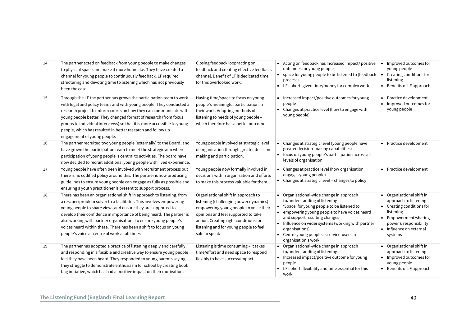| 14 | The partner acted on feedback from young people to make changes<br>to physical space and make it more homelike. They have created a<br>channel for young people to continuously feedback. LF required<br>structuring and devoting time to listening which has not previously<br>been the case.                                                                                                                                                                                     | Closing feedback loop/acting on<br>feedback and creating effective feedback<br>channel. Benefit of LF is dedicated time<br>for this overlooked work.                                                                                                                 | Acting on feedback has Increased impact/positive<br>Improved outcomes for<br>outcomes for young people<br>young people<br>• space for young people to be listened to (feedback<br>Creating conditions for<br>listening<br>process)<br>• LF cohort: given time/money for complex work<br>• Benefits of LF approach                                                                                                                                                                                                                           |
|----|------------------------------------------------------------------------------------------------------------------------------------------------------------------------------------------------------------------------------------------------------------------------------------------------------------------------------------------------------------------------------------------------------------------------------------------------------------------------------------|----------------------------------------------------------------------------------------------------------------------------------------------------------------------------------------------------------------------------------------------------------------------|---------------------------------------------------------------------------------------------------------------------------------------------------------------------------------------------------------------------------------------------------------------------------------------------------------------------------------------------------------------------------------------------------------------------------------------------------------------------------------------------------------------------------------------------|
| 15 | Through the LF the partner has grown the participation team to work<br>with legal and policy teams and with young people. They conducted a<br>research project to inform courts on how they can communicate with<br>young people better. They changed format of research (from focus<br>groups to individual interviews) so that it is more accessible to young<br>people, which has resulted in better research and follow up<br>engagement of young people.                      | Having time/space to focus on young<br>people's meaningful participation in<br>their work. Adapting methods of<br>listening to needs of young people -<br>which therefore has a better outcome.                                                                      | • Increased impact/positive outcomes for young<br>• Practice development<br>• Improved outcomes for<br>people<br>• Changes at practice level (how to engage with<br>young people<br>young people)                                                                                                                                                                                                                                                                                                                                           |
| 16 | The partner recruited two young people (externally) to the Board, and<br>have grown the participation team to meet the strategic aim where<br>participation of young people is central to activities. The board have<br>now decided to recruit additional young people with lived experience.                                                                                                                                                                                      | Young people involved at strategic level<br>of organisation through greater decision<br>making and participation.                                                                                                                                                    | Changes at strategic level (young people have<br>• Practice development<br>greater decision-making capabilities)<br>focus on young people's participation across all<br>$\bullet$<br>levels of organisation                                                                                                                                                                                                                                                                                                                                 |
| 17 | Young people have often been involved with recruitment process but<br>there is no codified policy around this. The partner is now producing<br>guidelines to ensure young people can engage as fully as possible and<br>ensuring a youth practitioner is present to support process.                                                                                                                                                                                               | Young people now formally involved in<br>decisions within organisation and efforts<br>to make this process valuable for them.                                                                                                                                        | Changes at practice level (how organisation<br>• Practice development<br>engages young people)<br>• Changes at strategic level - changes to policy                                                                                                                                                                                                                                                                                                                                                                                          |
| 18 | There has been an organisational shift in approach to listening, from<br>a rescuer/problem solver to a facilitator. This involves empowering<br>young people to share views and ensure they are supported to<br>develop their confidence in importance of being heard. The partner is<br>also working with partner organisations to ensure young people's<br>voices heard within these. There has been a shift to focus on young<br>people's voice at centre of work at all times. | Organisational shift in approach to<br>listening (challenging power dynamics) -<br>empowering young people to voice their<br>opinions and feel supported to take<br>action. Creating right conditions for<br>listening and for young people to feel<br>safe to speak | Organisational-wide change in approach<br>• Organisational shift in<br>to/understanding of listening<br>approach to listening<br>'Space' for young people to be listened to<br>• Creating conditions for<br>• empowering young people to have voices heard<br>listening<br>and support resulting changes<br>• Empowerment/sharing<br>• Influence on wider systems (working with partner<br>power & responsibility<br>organisations)<br>• Influence on external<br>Centre young people as service-users in<br>systems<br>organisation's work |
| 19 | The partner has adopted a practice of listening deeply and carefully,<br>and responding in a flexible and creative way to ensure young people<br>feel they have been heard. They responded to young parents saying<br>they struggle to demonstrate enthusiasm for school by creating book<br>bag initiative, which has had a positive impact on their motivation.                                                                                                                  | Listening is time consuming - it takes<br>time/effort and need space to respond<br>flexibly to have success/impact.                                                                                                                                                  | Organisational-wide change in approach<br>• Organisational shift in<br>to/understanding of listening<br>approach to listening<br>• Improved outcomes for<br>• Increased impact/positive outcome for young<br>young people<br>people<br>LF cohort: flexibility and time essential for this<br>• Benefits of LF approach<br>work                                                                                                                                                                                                              |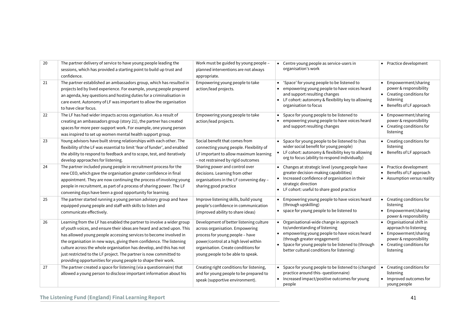| 20 | The partner delivery of service to have young people leading the<br>sessions, which has provided a starting point to build up trust and<br>confidence.                                                                                                                                                                                                                                                                                                                                                    | Work must be guided by young people -<br>planned interventions are not always<br>appropriate.                                                                                                                                     | Centre young people as service-users in<br>$\bullet$<br>organisation's work                                                                                                                                                                                              | • Practice development                                                                                                                          |
|----|-----------------------------------------------------------------------------------------------------------------------------------------------------------------------------------------------------------------------------------------------------------------------------------------------------------------------------------------------------------------------------------------------------------------------------------------------------------------------------------------------------------|-----------------------------------------------------------------------------------------------------------------------------------------------------------------------------------------------------------------------------------|--------------------------------------------------------------------------------------------------------------------------------------------------------------------------------------------------------------------------------------------------------------------------|-------------------------------------------------------------------------------------------------------------------------------------------------|
| 21 | The partner established an ambassadors group, which has resulted in<br>projects led by lived experience. For example, young people prepared<br>an agenda, key questions and hosting duties for a criminalisation in<br>care event. Autonomy of LF was important to allow the organisation<br>to have clear focus.                                                                                                                                                                                         | Empowering young people to take<br>action/lead projects.                                                                                                                                                                          | 'Space' for young people to be listened to<br>empowering young people to have voices heard<br>and support resulting changes<br>LF cohort: autonomy & flexibility key to allowing<br>$\bullet$<br>organisation to focus                                                   | • Empowerment/sharing<br>power & responsibility<br>• Creating conditions for<br>listening<br>• Benefits of LF approach                          |
| 22 | The LF has had wider impacts across organisation. As a result of<br>creating an ambassadors group (story 21), the partner has created<br>spaces for more peer-support work. For example, one young person<br>was inspired to set up women mental health support group.                                                                                                                                                                                                                                    | Empowering young people to take<br>action/lead projects.                                                                                                                                                                          | Space for young people to be listened to<br>empowering young people to have voices heard<br>$\bullet$<br>and support resulting changes                                                                                                                                   | • Empowerment/sharing<br>power & responsibility<br>• Creating conditions for<br>listening                                                       |
| 23 | Young advisors have built strong relationships with each other. The<br>flexibility of the LF was essential to limit 'fear of funder', and enabled<br>the ability to respond to feedback and to scope, test, and iteratively<br>develop approaches for listening.                                                                                                                                                                                                                                          | Social benefit that comes from<br>connecting young people. Flexibility of<br>LF important to allow maximum learning<br>- not restrained by rigid outcomes                                                                         | Space for young people to be listened to (has<br>wider social benefit for young people)<br>• LF cohort: autonomy & flexibility key to allowing<br>org to focus (ability to respond individually)                                                                         | • Creating conditions for<br>listening<br>• Benefits of LF approach                                                                             |
| 24 | The partner included young people in recruitment process for the<br>new CEO, which gave the organisation greater confidence in final<br>appointment. They are now continuing the process of involving young<br>people in recruitment, as part of a process of sharing power. The LF<br>convening days have been a good opportunity for learning.                                                                                                                                                          | Sharing power and control over<br>decisions. Learning from other<br>organisations in the LF convening day -<br>sharing good practice                                                                                              | Changes at strategic level (young people have<br>$\bullet$<br>greater decision-making capabilities)<br>• Increased confidence of organisation in their<br>strategic direction<br>• LF cohort: useful to share good practice                                              | • Practice development<br>Benefits of LF approach<br>• Assumption versus reality                                                                |
| 25 | The partner started running a young person advisory group and have<br>equipped young people and staff with skills to listen and<br>communicate effectively.                                                                                                                                                                                                                                                                                                                                               | Improve listening skills, build young<br>people's confidence in communication<br>(improved ability to share ideas)                                                                                                                | Empowering young people to have voices heard<br>(through upskilling)<br>• space for young people to be listened to                                                                                                                                                       | • Creating conditions for<br>listening<br>• Empowerment/sharing<br>power & responsibility                                                       |
| 26 | Learning from the LF has enabled the partner to involve a wider group<br>of youth voices, and ensure their ideas are heard and acted upon. This<br>has allowed young people accessing services to become involved in<br>the organisation in new ways, giving them confidence. The listening<br>culture across the whole organisation has develop, and this has not<br>just restricted to the LF project. The partner is now committed to<br>providing opportunities for young people to shape their work. | Development of better listening culture<br>across organisation. Empowering<br>process for young people - have<br>power/control at a high level within<br>organisation. Create conditions for<br>young people to be able to speak. | Organisational-wide change in approach<br>to/understanding of listening<br>• empowering young people to have voices heard<br>(through greater engagement)<br>Space for young people to be listened to (through<br>$\bullet$<br>better cultural conditions for listening) | • Organisational shift in<br>approach to listening<br>• Empowerment/sharing<br>power & responsibility<br>• Creating conditions for<br>listening |
| 27 | The partner created a space for listening (via a questionnaire) that<br>allowed a young person to disclose important information about his                                                                                                                                                                                                                                                                                                                                                                | Creating right conditions for listening,<br>and for young people to be prepared to<br>speak (supportive environment).                                                                                                             | Space for young people to be listened to (changed<br>practice around this- questionnaire)<br>Increased impact/positive outcomes for young<br>people                                                                                                                      | Creating conditions for<br>listening<br>Improved outcomes for<br>young people                                                                   |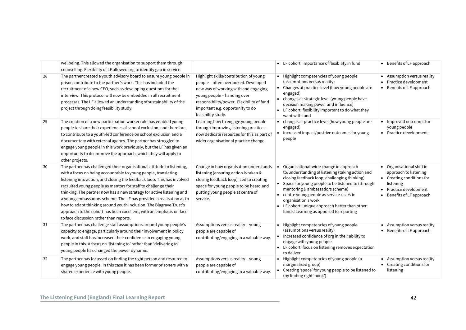|    | wellbeing. This allowed the organisation to support them through<br>counselling. Flexibility of LF allowed org to identify gap in service.                                                                                                                                                                                                                                                                                                                                                                                                                                                                                    |                                                                                                                                                                                                                                                              | • LF cohort: importance of flexibility in fund                                                                                                                                                                                                                                                                                                                                                        |                        | • Benefits of LF approach                                                                                                                       |
|----|-------------------------------------------------------------------------------------------------------------------------------------------------------------------------------------------------------------------------------------------------------------------------------------------------------------------------------------------------------------------------------------------------------------------------------------------------------------------------------------------------------------------------------------------------------------------------------------------------------------------------------|--------------------------------------------------------------------------------------------------------------------------------------------------------------------------------------------------------------------------------------------------------------|-------------------------------------------------------------------------------------------------------------------------------------------------------------------------------------------------------------------------------------------------------------------------------------------------------------------------------------------------------------------------------------------------------|------------------------|-------------------------------------------------------------------------------------------------------------------------------------------------|
| 28 | The partner created a youth advisory board to ensure young people in<br>prison contribute to the partner's work. This has included the<br>recruitment of a new CEO, such as developing questions for the<br>interview. This protocol will now be embedded in all recruitment<br>processes. The LF allowed an understanding of sustainability of the<br>project through doing feasibility study.                                                                                                                                                                                                                               | Highlight skills/contribution of young<br>people - often overlooked. Developed<br>new way of working with and engaging<br>young people - handing over<br>responsibility/power. Flexibility of fund<br>important e.g. opportunity to do<br>feasibility study. | • Highlight competencies of young people<br>(assumptions versus reality)<br>• Changes at practice level (how young people are<br>engaged)<br>• changes at strategic level (young people have<br>decision making power and influence)<br>• LF cohort: flexibility important to do what they<br>want with fund                                                                                          | $\bullet$<br>$\bullet$ | Assumption versus reality<br>Practice development<br>Benefits of LF approach                                                                    |
| 29 | The creation of a new participation worker role has enabled young<br>people to share their experiences of school exclusion, and therefore,<br>to contribute to a youth-led conference on school exclusion and a<br>documentary with external agency. The partner has struggled to<br>engage young people in this work previously, but the LF has given an<br>opportunity to do improve the approach, which they will apply to<br>other projects.                                                                                                                                                                              | Learning how to engage young people<br>through improving listening practices -<br>now dedicate resources for this as part of<br>wider organisational practice change                                                                                         | • changes at practice level (how young people are<br>engaged)<br>• increased impact/positive outcomes for young<br>people                                                                                                                                                                                                                                                                             |                        | • Improved outcomes for<br>young people<br>• Practice development                                                                               |
| 30 | The partner has challenged their organisational attitude to listening,<br>with a focus on being accountable to young people, translating<br>listening into action, and closing the feedback loop. This has involved<br>recruited young people as mentors for staff to challenge their<br>thinking. The partner now has a new strategy for active listening and<br>a young ambassadors scheme. The LF has provided a realisation as to<br>how to adapt thinking around youth inclusion. The Blagrave Trust's<br>approach to the cohort has been excellent, with an emphasis on face<br>to face discussion rather than reports. | Change in how organisation understands<br>listening (ensuring action is taken &<br>closing feedback loop). Led to creating<br>space for young people to be heard and<br>putting young people at centre of<br>service.                                        | Organisational-wide change in approach<br>to/understanding of listening (taking action and<br>closing feedback loop, challenging thinking)<br>• Space for young people to be listened to (through<br>mentoring & ambassadors scheme)<br>• centre young people as service-users in<br>organisation's work<br>• LF cohort: unique approach better than other<br>funds! Learning as opposed to reporting |                        | • Organisational shift in<br>approach to listening<br>• Creating conditions for<br>listening<br>Practice development<br>Benefits of LF approach |
| 31 | The partner has challenge staff assumptions around young people's<br>capacity to engage, particularly around their involvement in policy<br>work, and staff has increased their confidence in engaging young<br>people in this. A focus on 'listening to' rather than 'delivering to'<br>young people has changed the power dynamic.                                                                                                                                                                                                                                                                                          | Assumptions versus reality - young<br>people are capable of<br>contributing/engaging in a valuable way.                                                                                                                                                      | • Highlight competencies of young people<br>(assumptions versus reality)<br>• Increased confidence of org in their ability to<br>engage with young people<br>• LF cohort: focus on listening removes expectation<br>to deliver                                                                                                                                                                        |                        | • Assumption versus reality<br>• Benefits of LF approach                                                                                        |
| 32 | The partner has focussed on finding the right person and resource to<br>engage young people. In this case it has been former prisoners with a<br>shared experience with young people.                                                                                                                                                                                                                                                                                                                                                                                                                                         | Assumptions versus reality - young<br>people are capable of<br>contributing/engaging in a valuable way.                                                                                                                                                      | • Highlight competencies of young people (a<br>marginalised group)<br>Creating 'space' for young people to be listened to<br>(by finding right 'hook')                                                                                                                                                                                                                                                |                        | • Assumption versus reality<br>Creating conditions for<br>listening                                                                             |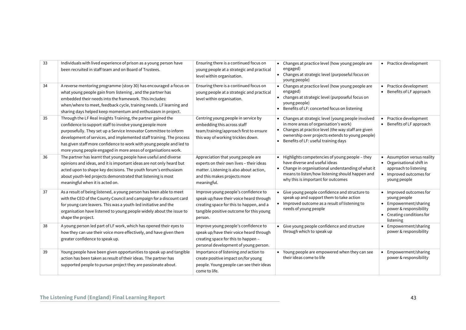| 33 | Individuals with lived experience of prison as a young person have<br>been recruited in staff team and on Board of Trustees.                                                                                                                                                                                                                                                                                     | Ensuring there is a continued focus on<br>young people at a strategic and practical<br>level within organisation.                                                                  | • Changes at practice level (how young people are<br>• Practice development<br>engaged)<br>• Changes at strategic level (purposeful focus on<br>young people)                                                                                                                                                                                                   |
|----|------------------------------------------------------------------------------------------------------------------------------------------------------------------------------------------------------------------------------------------------------------------------------------------------------------------------------------------------------------------------------------------------------------------|------------------------------------------------------------------------------------------------------------------------------------------------------------------------------------|-----------------------------------------------------------------------------------------------------------------------------------------------------------------------------------------------------------------------------------------------------------------------------------------------------------------------------------------------------------------|
| 34 | A reverse mentoring programme (story 30) has encouraged a focus on<br>what young people gain from listening, and the partner has<br>embedded their needs into the framework. This includes:<br>when/where to meet, feedback cycle, training needs. LF learning and<br>sharing days helped keep momentum and enthusiasm in project.                                                                               | Ensuring there is a continued focus on<br>young people at a strategic and practical<br>level within organisation.                                                                  | • Changes at practice level (how young people are<br>• Practice development<br>Benefits of LF approach<br>engaged)<br>• changes at strategic level (purposeful focus on<br>young people)<br>• Benefits of LF: concerted focus on listening                                                                                                                      |
| 35 | Through the LF Real Insights Training, the partner gained the<br>confidence to support staff to involve young people more<br>purposefully. They set up a Service Innovator Committee to inform<br>development of services, and implemented staff training. The process<br>has given staff more confidence to work with young people and led to<br>more young people engaged in more areas of organisations work. | Centring young people in service by<br>embedding this across staff<br>team/training/approach first to ensure<br>this way of working trickles down.                                 | Changes at strategic level (young people involved<br>Practice development<br>$\bullet$<br>in more areas of organisation's work)<br>• Benefits of LF approach<br>Changes at practice level (the way staff are given<br>ownership over projects extends to young people)<br>Benefits of LF: useful training days<br>$\bullet$                                     |
| 36 | The partner has learnt that young people have useful and diverse<br>opinions and ideas, and it is important ideas are not only heard but<br>acted upon to shape key decisions. The youth forum's enthusiasm<br>about youth-led projects demonstrated that listening is most<br>meaningful when it is acted on.                                                                                                   | Appreciation that young people are<br>experts on their own lives - their ideas<br>matter. Listening is also about action,<br>and this makes projects more<br>meaningful.           | Highlights competencies of young people - they<br>• Assumption versus reality<br>have diverse and useful ideas<br>• Organisational shift in<br>• Change in organisational understanding of what it<br>approach to listening<br>means to listen/how listening should happen and<br>• Improved outcomes for<br>why this is important for outcomes<br>young people |
| 37 | As a result of being listened, a young person has been able to meet<br>with the CEO of the County Council and campaign for a discount card<br>for young care leavers. This was a youth-led initiative and the<br>organisation have listened to young people widely about the issue to<br>shape the project.                                                                                                      | Improve young people's confidence to<br>speak up/have their voice heard through<br>creating space for this to happen, and a<br>tangible positive outcome for this young<br>person. | Give young people confidence and structure to<br>• Improved outcomes for<br>speak up and support them to take action<br>young people<br>• Improved outcome as a result of listening to<br>• Empowerment/sharing<br>needs of young people<br>power & responsibility<br>• Creating conditions for<br>listening                                                    |
| 38 | A young person led part of LF work, which has opened their eyes to<br>how they can use their voice more effectively, and have given them<br>greater confidence to speak up.                                                                                                                                                                                                                                      | Improve young people's confidence to<br>speak up/have their voice heard through<br>creating space for this to happen -<br>personal development of young person.                    | Give young people confidence and structure<br>Empowerment/sharing<br>through which to speak up<br>power & responsibility                                                                                                                                                                                                                                        |
| 39 | Young people have been given opportunities to speak up and tangible<br>action has been taken as result of their ideas. The partner has<br>supported people to pursue project they are passionate about.                                                                                                                                                                                                          | Importance of listening and action to<br>create positive impact on/for young<br>people. Young people can see their ideas<br>come to life.                                          | • Young people are empowered when they can see<br>Empowerment/sharing<br>power & responsibility<br>their ideas come to life                                                                                                                                                                                                                                     |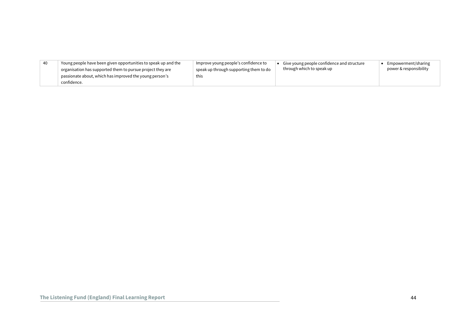| - 40 | Young people have been given opportunities to speak up and the | Improve young people's confidence to              | Give young people confidence and structure | Empowerment/sharing    |
|------|----------------------------------------------------------------|---------------------------------------------------|--------------------------------------------|------------------------|
|      | organisation has supported them to pursue project they are     | $^{\circ}$ speak up through supporting them to do | through which to speak up                  | power & responsibility |
|      | passionate about, which has improved the young person's        | this                                              |                                            |                        |
|      | confidence.                                                    |                                                   |                                            |                        |